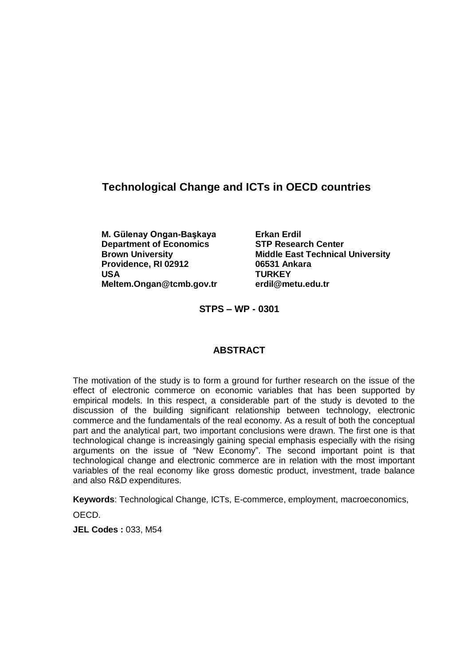# **Technological Change and ICTs in OECD countries**

**M. G¸lenay Ongan-Baºkaya Erkan Erdil Department of Economics STP Research Center Providence, RI 02912 06531 Ankara USA TURKEY [Meltem.Ongan@tcmb.gov.tr](mailto:Meltem.Ongan@tcmb.gov.tr) [erdil@metu.edu.tr](mailto:erdil@metu.edu.tr)**

**Brown University Middle East Technical University**

**STPS ñ WP - 0301**

### **ABSTRACT**

The motivation of the study is to form a ground for further research on the issue of the effect of electronic commerce on economic variables that has been supported by empirical models. In this respect, a considerable part of the study is devoted to the discussion of the building significant relationship between technology, electronic commerce and the fundamentals of the real economy. As a result of both the conceptual part and the analytical part, two important conclusions were drawn. The first one is that technological change is increasingly gaining special emphasis especially with the rising arguments on the issue of "New Economy". The second important point is that technological change and electronic commerce are in relation with the most important variables of the real economy like gross domestic product, investment, trade balance and also R&D expenditures.

**Keywords**: Technological Change, ICTs, E-commerce, employment, macroeconomics,

OECD.

**JEL Codes :** 033, M54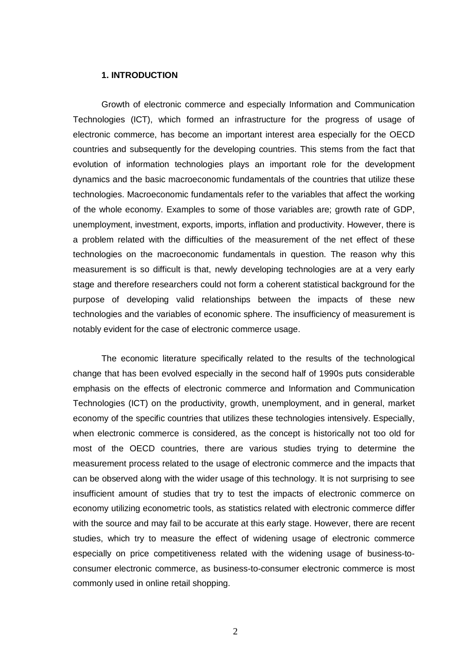#### **1. INTRODUCTION**

Growth of electronic commerce and especially Information and Communication Technologies (ICT), which formed an infrastructure for the progress of usage of electronic commerce, has become an important interest area especially for the OECD countries and subsequently for the developing countries. This stems from the fact that evolution of information technologies plays an important role for the development dynamics and the basic macroeconomic fundamentals of the countries that utilize these technologies. Macroeconomic fundamentals refer to the variables that affect the working of the whole economy. Examples to some of those variables are; growth rate of GDP, unemployment, investment, exports, imports, inflation and productivity. However, there is a problem related with the difficulties of the measurement of the net effect of these technologies on the macroeconomic fundamentals in question. The reason why this measurement is so difficult is that, newly developing technologies are at a very early stage and therefore researchers could not form acoherent statistical background for the purpose of developing valid relationships between the impacts of these new technologies and the variables of economic sphere. The insufficiency of measurement is notably evident for the case of electronic commerce usage.

The economic literature specifically related to the results of the technological change that has been evolved especially in the second half of 1990s puts considerable emphasis on the effects of electronic commerce and Information and Communication Technologies (ICT) on the productivity, growth, unemployment, and in general, market economy of the specific countries that utilizes these technologies intensively. Especially, when electronic commerce is considered, as the concept is historically not too old for most of the OECD countries, there are various studies trying to determine the measurement process related to the usage of electronic commerce and the impacts that can be observed along with the wider usage of this technology. It is not surprising to see insufficient amount of studies that try to test the impacts of electronic commerce on economy utilizing econometric tools, as statistics related with electronic commerce differ with the source and may fail to be accurate at this early stage. However, there are recent studies, which try to measure the effect of widening usage of electronic commerce especially on price competitiveness related with the widening usage of business-toconsumer electronic commerce, as business-to-consumer electronic commerce is most commonly used in online retail shopping.

2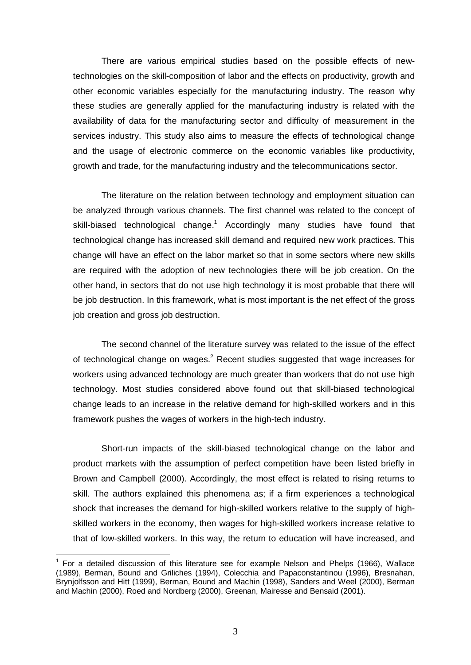There are various empirical studies based on the possible effects of newtechnologies on the skill-composition of labor and the effects on productivity, growth and other economic variables especially for the manufacturing industry. The reason why these studies are generally applied for the manufacturing industry is related with the availability of data for the manufacturing sector and difficulty of measurement in the services industry. This study also aims to measure the effects of technological change and the usage of electronic commerce on the economic variables like productivity, growth and trade, for the manufacturing industry and the telecommunications sector.

The literature on the relation between technology and employment situation can be analyzed through various channels. The first channel was related to the concept of skill-biased technological change.<sup>1</sup> Accordingly many studies have found that technological change has increased skill demand and required new work practices. This change will have an effect on the labor market so that in some sectors where new skills are required with the adoption of new technologies there will be job creation. On the other hand, in sectors that do not use high technology it is most probable that there will be job destruction. In this framework, what is most important is the net effect of the gross job creation and gross job destruction.

The second channel of the literature survey was related to the issue of the effect of technological change on wages.<sup>2</sup> Recent studies suggested that wage increases for workers using advanced technology are much greater than workers that do not use high technology. Most studies considered above found out that skill-biased technological change leads to an increase in the relative demand for high-skilled workers and in this framework pushes the wages of workers in the high-tech industry.

Short-run impacts of the skill-biased technological change on the labor and product markets with the assumption of perfect competition have been listed briefly in Brown and Campbell (2000). Accordingly, the most effect is related to rising returns to skill. The authors explained this phenomena as; if a firm experiences a technological shock that increases the demand for high-skilled workers relative to the supply of highskilled workers in the economy, then wages for high-skilled workers increase relative to that of low-skilled workers. In this way, the return to education will have increased, and

<sup>1</sup> For <sup>a</sup> detailed discussion of this literature see for example Nelson and Phelps (1966), Wallace (1989), Berman, Bound and Griliches (1994), Colecchia and Papaconstantinou (1996), Bresnahan, Brynjolfsson and Hitt (1999), Berman, Bound and Machin (1998), Sanders and Weel (2000), Berman and Machin (2000), Roed and Nordberg (2000), Greenan, Mairesse and Bensaid (2001).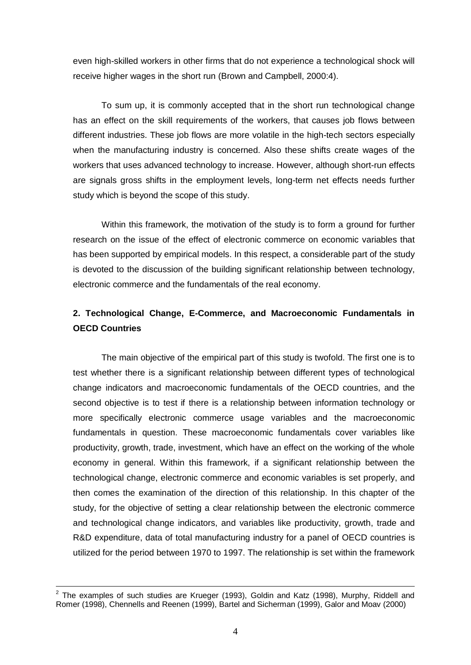even high-skilled workers in other firms that do not experience a technological shock will receive higher wages in the short run (Brown and Campbell, 2000:4).

To sum up, it is commonly accepted that in the short run technological change has an effect on the skill requirements of the workers, that causes job flows between different industries. These job flows are more volatile in the high-tech sectors especially when the manufacturing industry is concerned. Also these shifts create wages of the workers that uses advanced technology to increase. However, although short-run effects are signals gross shifts in the employment levels, long-term net effects needs further study which is beyond the scope of this study.

Within this framework, the motivation of the study is to form a ground for further research on the issue of the effect of electronic commerce on economic variables that has been supported by empirical models. In this respect, a considerable part of the study is devoted to the discussion of the building significant relationship between technology, electronic commerce and the fundamentals of the real economy.

# **2. Technological Change, E-Commerce, and Macroeconomic Fundamentals in OECD Countries**

The main objective of the empirical part of this study is twofold. The first one is to test whether there is a significant relationship between different types of technological change indicators and macroeconomic fundamentals of the OECD countries, and the second objective is to test if there is a relationship between information technology or more specifically electronic commerce usage variables and the macroeconomic fundamentals in question. These macroeconomic fundamentals cover variables like productivity, growth, trade, investment, which have an effect on the working of the whole economy in general. Within this framework, if a significant relationship between the technological change, electronic commerce and economic variables is set properly, and then comes the examination of the direction of this relationship. In this chapter of the study, for the objective of setting a clear relationship between the electronic commerce and technological change indicators, and variables like productivity, growth, trade and R&D expenditure, data of total manufacturing industry for a panel of OECD countries is utilized for the period between 1970 to 1997. The relationship is set within the framework

 $2$  The examples of such studies are Krueger (1993), Goldin and Katz (1998), Murphy, Riddell and Romer (1998), Chennells and Reenen (1999), Bartel and Sicherman (1999), Galor and Moav (2000)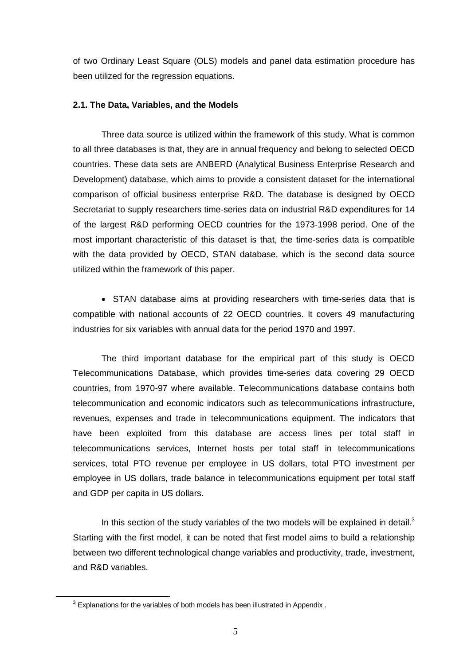of two Ordinary Least Square (OLS) models and panel data estimation procedure has been utilized for the regression equations.

#### **2.1. The Data, Variables, and the Models**

Three data source is utilized within the framework of this study. What is common to all three databases is that, they are in annual frequency and belong to selected OECD countries. These data sets are ANBERD (Analytical Business Enterprise Research and Development) database, which aims to provide a consistent dataset for the international comparison of official business enterprise R&D. The database is designed by OECD Secretariat to supply researchers time-series data on industrial R&D expenditures for 14 of the largest R&D performing OECD countries for the 1973-1998 period. One of the most important characteristic of this dataset is that, the time-series data is compatible with the data provided by OECD, STAN database, which is the second data source utilized within the framework of this paper.

• STAN database aims at providing researchers with time-series data that is compatible with national accounts of 22 OECD countries. It covers 49 manufacturing industries for six variables with annual data for the period 1970 and 1997.

The third important database for the empirical part of this study is OECD Telecommunications Database, which provides time-series data covering 29 OECD countries, from 1970-97 where available. Telecommunications database contains both telecommunication and economic indicators such as telecommunications infrastructure, revenues, expenses and trade in telecommunications equipment. The indicators that have been exploited from this database are access lines per total staff in telecommunications services, Internet hosts per total staff in telecommunications services, total PTO revenue per employee in US dollars, total PTO investment per employee in US dollars, trade balance in telecommunications equipment per total staff and GDP per capita in US dollars.

In this section of the study variables of the two models will be explained in detail. $3$ Starting with the first model, it can be noted that first model aims to build a relationship between two different technological change variables and productivity, trade, investment, and R&D variables.

 $3$  Explanations for the variables of both models has been illustrated in Appendix.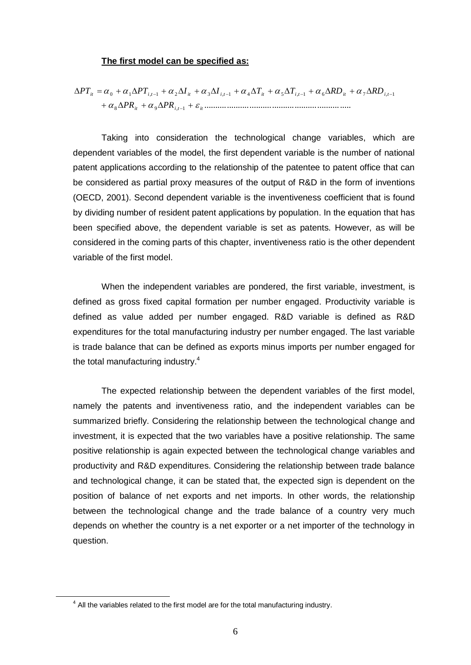#### **The first model can be specified as:**

$$
\Delta PT_{it} = \alpha_0 + \alpha_1 \Delta PT_{i,t-1} + \alpha_2 \Delta I_{it} + \alpha_3 \Delta I_{i,t-1} + \alpha_4 \Delta T_{it} + \alpha_5 \Delta T_{i,t-1} + \alpha_6 \Delta RD_{it} + \alpha_7 \Delta RD_{i,t-1} + \alpha_8 \Delta PR_{it} + \alpha_9 \Delta PR_{i,t-1} + \varepsilon_{it}
$$

Taking into consideration the technological change variables, which are dependent variables of the model, the first dependent variable is the number of national patent applications according to the relationship of the patentee to patent office that can be considered as partial proxy measures of the output of R&D in the form of inventions (OECD, 2001). Second dependent variable is the inventiveness coefficient that is found by dividing number of resident patent applications by population. In the equation that has been specified above, the dependent variable is set as patents. However, as will be considered in the coming parts of this chapter, inventiveness ratio is the other dependent variable of the first model.

When the independent variables are pondered, the first variable, investment, is defined as gross fixed capital formation per number engaged. Productivity variable is defined as value added per number engaged. R&D variable is defined as R&D expenditures for the total manufacturing industry per number engaged. The last variable is trade balance that can be defined as exports minus imports per number engaged for the total manufacturing industry.<sup>4</sup>

The expected relationship between the dependent variables of the first model, namely the patents and inventiveness ratio, and the independent variables can be summarized briefly. Considering the relationship between the technological change and investment, it is expected that the two variables have a positive relationship. The same positive relationship is again expected between the technological change variables and productivity and R&D expenditures. Considering the relationship between trade balance and technological change, it can be stated that, the expected sign is dependent on the position of balance of net exports and net imports. In other words, the relationship between the technological change and the trade balance of a country very much depends on whether the country is a net exporter or a net importer of the technology in question.

<sup>&</sup>lt;sup>4</sup> All the variables related to the first model are for the total manufacturing industry.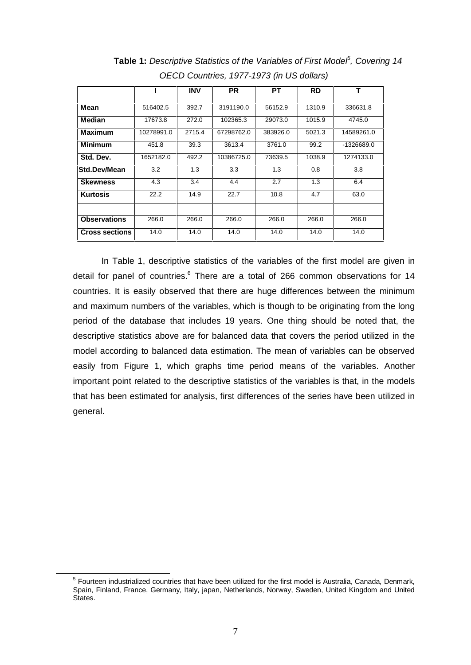|                       |            | <b>INV</b> | <b>PR</b>  | PТ       | <b>RD</b> | т          |
|-----------------------|------------|------------|------------|----------|-----------|------------|
|                       |            |            |            |          |           |            |
| Mean                  | 516402.5   | 392.7      | 3191190.0  | 56152.9  | 1310.9    | 336631.8   |
| Median                | 17673.8    | 272.0      | 102365.3   | 29073.0  | 1015.9    | 4745.0     |
| Maximum               | 10278991.0 | 2715.4     | 67298762.0 | 383926.0 | 5021.3    | 14589261.0 |
| <b>Minimum</b>        | 451.8      | 39.3       | 3613.4     | 3761.0   | 99.2      | -1326689.0 |
| Std. Dev.             | 1652182.0  | 492.2      | 10386725.0 | 73639.5  | 1038.9    | 1274133.0  |
| <b>Std.Dev/Mean</b>   | 3.2        | 1.3        | 3.3        | 1.3      | 0.8       | 3.8        |
| <b>Skewness</b>       | 4.3        | 3.4        | 4.4        | 2.7      | 1.3       | 6.4        |
| <b>Kurtosis</b>       | 22.2       | 14.9       | 22.7       | 10.8     | 4.7       | 63.0       |
|                       |            |            |            |          |           |            |
| <b>Observations</b>   | 266.0      | 266.0      | 266.0      | 266.0    | 266.0     | 266.0      |
| <b>Cross sections</b> | 14.0       | 14.0       | 14.0       | 14.0     | 14.0      | 14.0       |

**Table 1:** Descriptive Statistics of the Variables of First Model<sup>5</sup>, Covering 14 OECD Countries, 1977-1973 (in US dollars)

In Table 1, descriptive statistics of the variables of the first model are given in detail for panel of countries.<sup>6</sup> There are a total of 266 common observations for 14 countries. It is easily observed that there are huge differences between the minimum and maximum numbers of the variables, which is though to be originating from the long period of the database that includes 19 years. One thing should be noted that, the descriptive statistics above are for balanced data that covers the period utilized in the model according to balanced data estimation. The mean of variables can be observed easily from Figure 1, which graphs time period means of the variables. Another important point related to the descriptive statistics of the variables is that, in the models that has been estimated for analysis, first differences of the series have been utilized in general.

<sup>5</sup> Fourteen industrialized countries that have been utilized for the first model is Australia, Canada, Denmark, Spain, Finland, France, Germany, Italy, japan, Netherlands, Norway, Sweden, United Kingdom and United States.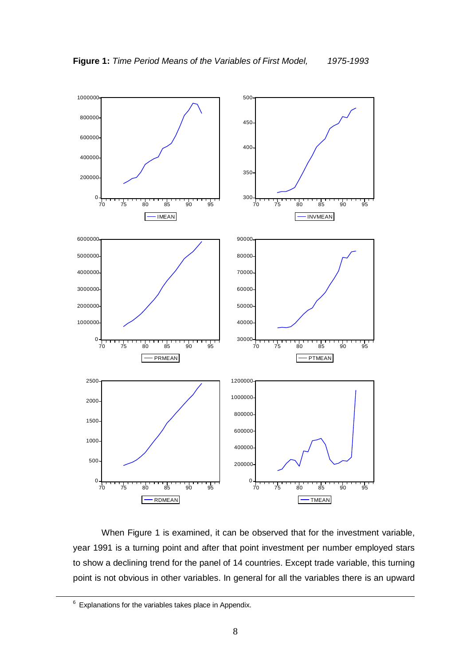

When Figure 1 is examined, it can be observed that for the investment variable, year 1991 is a turning point and after that point investment per number employed stars to show a declining trend for the panel of 14 countries. Except trade variable, this turning point is not obvious in other variables. In general for all the variables there is an upward

Explanations for the variables takes place in Appendix.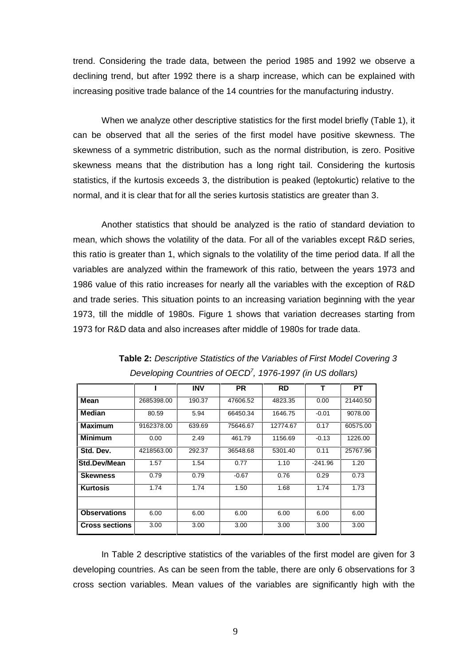trend. Considering the trade data, between the period 1985 and 1992 we observe a declining trend, but after 1992 there is a sharp increase, which can be explained with increasing positive trade balance of the 14 countries for the manufacturing industry.

When we analyze other descriptive statistics for the first model briefly (Table 1), it can be observed that all the series of the first model have positive skewness. The skewness of a symmetric distribution, such as the normal distribution, is zero. Positive skewness means that the distribution has a long right tail. Considering the kurtosis statistics, if the kurtosis exceeds 3, the distribution is peaked (leptokurtic) relative to the normal, and it is clear that for all the series kurtosis statistics are greater than 3.

Another statistics that should be analyzed is the ratio of standard deviation to mean, which shows the volatility of the data. For all of the variables except R&D series, this ratio is greater than 1, which signals to the volatility of the time period data. If all the variables are analyzed within the framework of this ratio, between the years 1973 and 1986 value of this ratio increases for nearly all the variables with the exception of R&D and trade series. This situation points to an increasing variation beginning with the year 1973, till the middle of 1980s. Figure 1 shows that variation decreases starting from 1973 for R&D data and also increases after middle of 1980s for trade data.

|                       |            | <b>INV</b> | <b>PR</b> | <b>RD</b> | т         | PТ       |
|-----------------------|------------|------------|-----------|-----------|-----------|----------|
| Mean                  | 2685398.00 | 190.37     | 47606.52  | 4823.35   | 0.00      | 21440.50 |
| <b>Median</b>         | 80.59      | 5.94       | 66450.34  | 1646.75   | $-0.01$   | 9078.00  |
| <b>Maximum</b>        | 9162378.00 | 639.69     | 75646.67  | 12774.67  | 0.17      | 60575.00 |
| <b>Minimum</b>        | 0.00       | 2.49       | 461.79    | 1156.69   | $-0.13$   | 1226.00  |
| Std. Dev.             | 4218563.00 | 292.37     | 36548.68  | 5301.40   | 0.11      | 25767.96 |
| <b>Std.Dev/Mean</b>   | 1.57       | 1.54       | 0.77      | 1.10      | $-241.96$ | 1.20     |
| <b>Skewness</b>       | 0.79       | 0.79       | $-0.67$   | 0.76      | 0.29      | 0.73     |
| <b>Kurtosis</b>       | 1.74       | 1.74       | 1.50      | 1.68      | 1.74      | 1.73     |
|                       |            |            |           |           |           |          |
| <b>Observations</b>   | 6.00       | 6.00       | 6.00      | 6.00      | 6.00      | 6.00     |
| <b>Cross sections</b> | 3.00       | 3.00       | 3.00      | 3.00      | 3.00      | 3.00     |

**Table 2:** Descriptive Statistics of the Variables of First Model Covering 3 Developing Countries of OECD<sup>7</sup>, 1976-1997 (in US dollars)

In Table 2 descriptive statistics of the variables of the first model are given for 3 developing countries. As can be seen from the table, there are only 6 observations for 3 cross section variables. Mean values of the variables are significantly high with the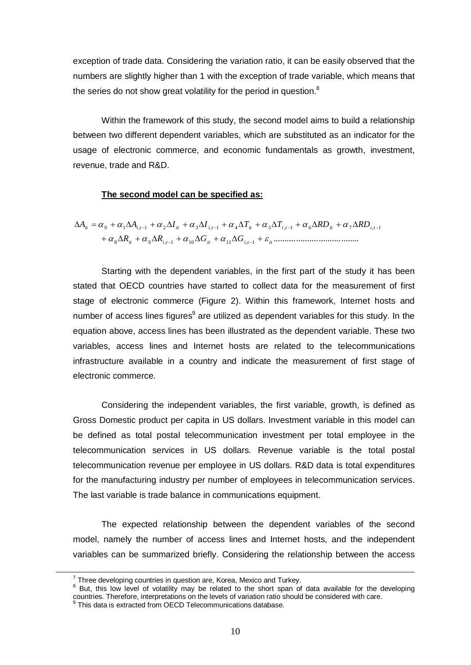exception of trade data. Considering the variation ratio, it can be easily observed that the numbers are slightly higher than 1 with the exception of trade variable, which means that the series do not show great volatility for the period in question.<sup>8</sup>

Within the framework of this study, the second model aims to build a relationship between two different dependent variables, which are substituted as an indicator for the usage of electronic commerce, and economic fundamentals as growth, investment, revenue, trade and R&D.

#### **The second model can be specified as:**

$$
\Delta A_{it} = \alpha_0 + \alpha_1 \Delta A_{i,t-1} + \alpha_2 \Delta I_{it} + \alpha_3 \Delta I_{i,t-1} + \alpha_4 \Delta T_{it} + \alpha_5 \Delta T_{i,t-1} + \alpha_6 \Delta R D_{it} + \alpha_7 \Delta R D_{i,t-1}
$$

$$
+ \alpha_8 \Delta R_{it} + \alpha_9 \Delta R_{i,t-1} + \alpha_{10} \Delta G_{it} + \alpha_{11} \Delta G_{i,t-1} + \varepsilon_{it} \dots \dots \dots \dots \dots \dots \dots \dots \dots \dots \dots \dots
$$

Starting with the dependent variables, in the first part of the study it has been stated that OECD countries have started to collect data for the measurement of first stage of electronic commerce (Figure 2). Within this framework, Internet hosts and number of access lines figures<sup>9</sup> are utilized as dependent variables for this study. In the equation above, access lines has been illustrated as the dependent variable. These two variables, access lines and Internet hosts are related to the telecommunications infrastructure available in a country and indicate the measurement of first stage of electronic commerce.

Considering the independent variables, the first variable, growth, is defined as Gross Domestic product per capita in US dollars. Investment variable in this model can be defined as total postal telecommunication investment per total employee in the telecommunication services in US dollars. Revenue variable is the total postal telecommunication revenue per employee in US dollars. R&D data is total expenditures for the manufacturing industry per number of employees in telecommunication services. The last variable is trade balance in communications equipment.

The expected relationship between the dependent variables of the second model, namely the number of access lines and Internet hosts, and the independent variables can be summarized briefly. Considering the relationship between the access

Three developing countries in question are, Korea, Mexico and Turkey.<br><sup>8</sup> But, this low level of volatility may be related to the short span of data available for the developing countries. Therefore, interpretations on th

preformation. Therefore, interpretations on the consideration ratio is extracted from OECD Telecommunications database.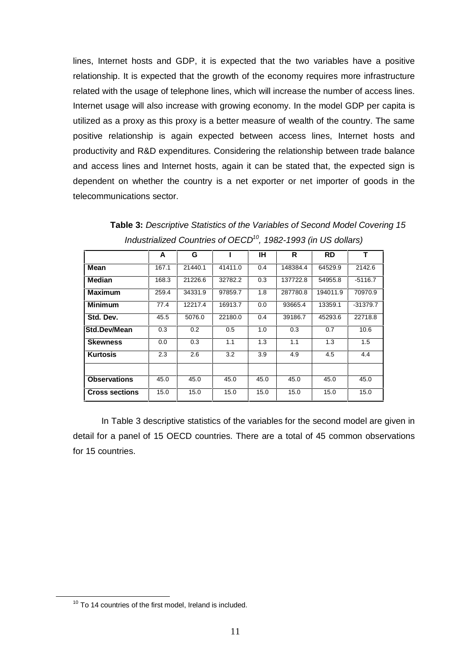lines, Internet hosts and GDP, it is expected that the two variables have a positive relationship. It is expected that the growth of the economy requires more infrastructure related with the usage of telephone lines, which will increase the number of access lines. Internet usage will also increase with growing economy. In the model GDP per capita is utilized as a proxy as this proxy is a better measure of wealth of the country. The same positive relationship is again expected between access lines, Internet hosts and productivity and R&D expenditures. Considering the relationship between trade balance and access lines and Internet hosts, again it can be stated that, the expected sign is dependent on whether the country is a net exporter or net importer of goods in the telecommunications sector.

|                       | A     | G       |         | ΙH   | R        | <b>RD</b> | т          |
|-----------------------|-------|---------|---------|------|----------|-----------|------------|
| Mean                  | 167.1 | 21440.1 | 41411.0 | 0.4  | 148384.4 | 64529.9   | 2142.6     |
| <b>Median</b>         | 168.3 | 21226.6 | 32782.2 | 0.3  | 137722.8 | 54955.8   | -5116.7    |
| Maximum               | 259.4 | 34331.9 | 97859.7 | 1.8  | 287780.8 | 194011.9  | 70970.9    |
| Minimum               | 77.4  | 12217.4 | 16913.7 | 0.0  | 93665.4  | 13359.1   | $-31379.7$ |
| Std. Dev.             | 45.5  | 5076.0  | 22180.0 | 0.4  | 39186.7  | 45293.6   | 22718.8    |
| Std.Dev/Mean          | 0.3   | 0.2     | 0.5     | 1.0  | 0.3      | 0.7       | 10.6       |
| <b>Skewness</b>       | 0.0   | 0.3     | 1.1     | 1.3  | 1.1      | 1.3       | 1.5        |
| <b>Kurtosis</b>       | 2.3   | 2.6     | 3.2     | 3.9  | 4.9      | 4.5       | 4.4        |
|                       |       |         |         |      |          |           |            |
| <b>Observations</b>   | 45.0  | 45.0    | 45.0    | 45.0 | 45.0     | 45.0      | 45.0       |
| <b>Cross sections</b> | 15.0  | 15.0    | 15.0    | 15.0 | 15.0     | 15.0      | 15.0       |

**Table 3:** Descriptive Statistics of the Variables of Second Model Covering 15 Industrialized Countries of OECD<sup>10</sup>, 1982-1993 (in US dollars)

In Table 3 descriptive statistics of the variables for the second model are given in detail for a panel of 15 OECD countries. There are a total of 45 common observations for 15 countries.

<sup>&</sup>lt;sup>10</sup> To 14 countries of the first model, Ireland is included.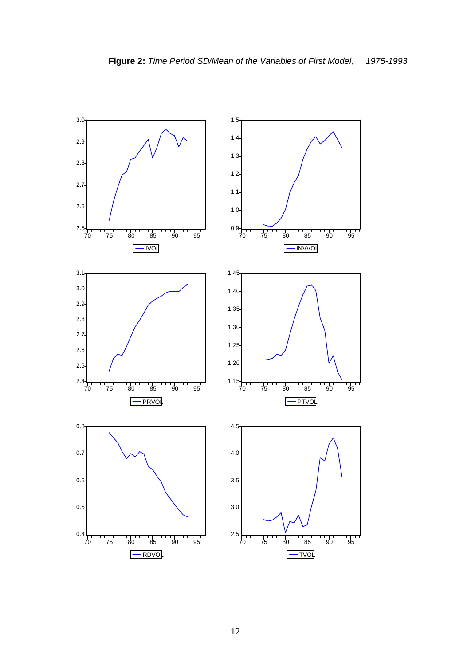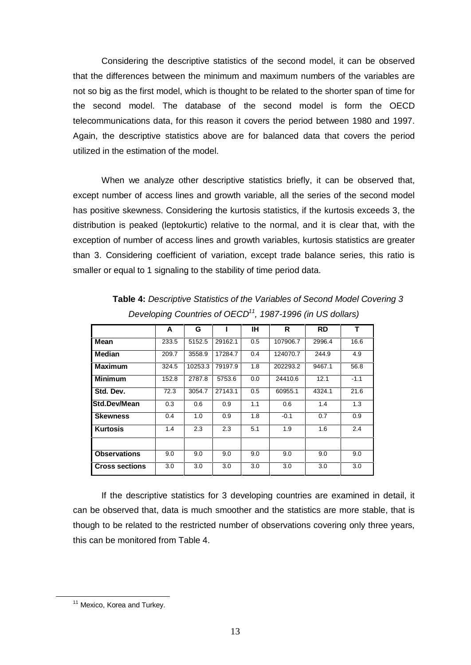Considering the descriptive statistics of the second model, it can be observed that the differences between the minimum and maximum numbers of the variables are not so big as the first model, which is thought to be related to the shorter span of time for the second model. The database of the second model is form the OECD telecommunications data, for this reason it covers the period between 1980 and 1997. Again, the descriptive statistics above are for balanced data that covers the period utilized in the estimation of the model.

When we analyze other descriptive statistics briefly, it can be observed that, except number of access lines and growth variable, all the series of the second model has positive skewness. Considering the kurtosis statistics, if the kurtosis exceeds 3, the distribution is peaked (leptokurtic) relative to the normal, and it is clear that, with the exception of number of access lines and growth variables, kurtosis statistics are greater than 3. Considering coefficient of variation, except trade balance series, this ratio is smaller or equal to 1 signaling to the stability of time period data.

|                       | A     | G       |         | <b>IH</b> | R        | <b>RD</b> | т      |
|-----------------------|-------|---------|---------|-----------|----------|-----------|--------|
| Mean                  | 233.5 | 5152.5  | 29162.1 | 0.5       | 107906.7 | 2996.4    | 16.6   |
| Median                | 209.7 | 3558.9  | 17284.7 | 0.4       | 124070.7 | 244.9     | 4.9    |
| <b>Maximum</b>        | 324.5 | 10253.3 | 79197.9 | 1.8       | 202293.2 | 9467.1    | 56.8   |
| <b>Minimum</b>        | 152.8 | 2787.8  | 5753.6  | 0.0       | 24410.6  | 12.1      | $-1.1$ |
| Std. Dev.             | 72.3  | 3054.7  | 27143.1 | 0.5       | 60955.1  | 4324.1    | 21.6   |
| <b>Std.Dev/Mean</b>   | 0.3   | 0.6     | 0.9     | 1.1       | 0.6      | 1.4       | 1.3    |
| <b>Skewness</b>       | 0.4   | 1.0     | 0.9     | 1.8       | $-0.1$   | 0.7       | 0.9    |
| <b>Kurtosis</b>       | 1.4   | 2.3     | 2.3     | 5.1       | 1.9      | 1.6       | 2.4    |
|                       |       |         |         |           |          |           |        |
| <b>Observations</b>   | 9.0   | 9.0     | 9.0     | 9.0       | 9.0      | 9.0       | 9.0    |
| <b>Cross sections</b> | 3.0   | 3.0     | 3.0     | 3.0       | 3.0      | 3.0       | 3.0    |

**Table 4:** Descriptive Statistics of the Variables of Second Model Covering 3 Developing Countries of OECD<sup>11</sup>, 1987-1996 (in US dollars)

If the descriptive statistics for 3 developing countries are examined in detail, it can be observed that, data is much smoother and the statistics are more stable, that is though to be related to the restricted number of observations covering only three years, this can be monitored from Table 4.

<sup>&</sup>lt;sup>11</sup> Mexico, Korea and Turkey.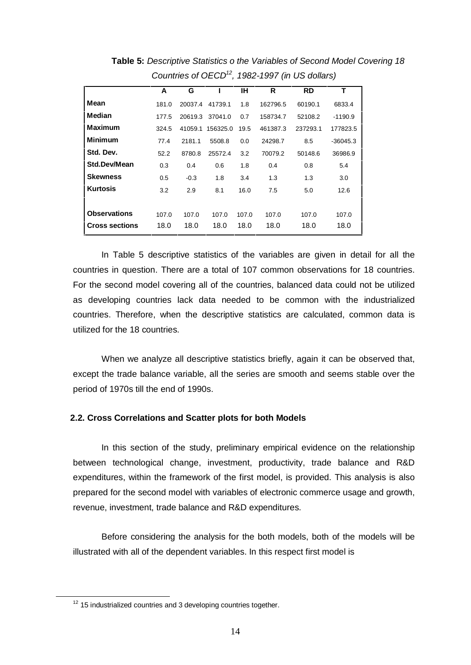|                       | A     | G       |          | IН    | R        | <b>RD</b> | т          |
|-----------------------|-------|---------|----------|-------|----------|-----------|------------|
| Mean                  | 181.0 | 20037.4 | 41739.1  | 1.8   | 162796.5 | 60190.1   | 6833.4     |
| Median                | 177.5 | 20619.3 | 37041.0  | 0.7   | 158734.7 | 52108.2   | $-1190.9$  |
| <b>Maximum</b>        | 324.5 | 41059.1 | 156325.0 | 19.5  | 461387.3 | 237293.1  | 177823.5   |
| <b>Minimum</b>        | 77.4  | 2181.1  | 5508.8   | 0.0   | 24298.7  | 8.5       | $-36045.3$ |
| Std. Dev.             | 52.2  | 8780.8  | 25572.4  | 3.2   | 70079.2  | 50148.6   | 36986.9    |
| Std.Dev/Mean          | 0.3   | 0.4     | 0.6      | 1.8   | 0.4      | 0.8       | 5.4        |
| <b>Skewness</b>       | 0.5   | $-0.3$  | 1.8      | 3.4   | 1.3      | 1.3       | 3.0        |
| <b>Kurtosis</b>       | 3.2   | 2.9     | 8.1      | 16.0  | 7.5      | 5.0       | 12.6       |
|                       |       |         |          |       |          |           |            |
| <b>Observations</b>   | 107.0 | 107.0   | 107.0    | 107.0 | 107.0    | 107.0     | 107.0      |
| <b>Cross sections</b> | 18.0  | 18.0    | 18.0     | 18.0  | 18.0     | 18.0      | 18.0       |
|                       |       |         |          |       |          |           |            |

**Table 5:** Descriptive Statistics o the Variables of Second Model Covering 18 Countries of OECD<sup>12</sup>, 1982-1997 (in US dollars)

In Table 5 descriptive statistics of the variables are given in detail for all the countries in question. There are a total of 107 common observations for 18 countries. For the second model covering all of the countries, balanced data could not be utilized as developing countries lack data needed to be common with the industrialized countries. Therefore, when the descriptive statistics are calculated, common data is utilized for the 18 countries.

When we analyze all descriptive statistics briefly, again it can be observed that, except the trade balance variable, all the series are smooth and seems stable over the period of 1970s till the end of 1990s.

#### **2.2. Cross Correlations and Scatter plots for both Models**

In this section of the study, preliminary empirical evidence on the relationship between technological change, investment, productivity, trade balance and R&D expenditures, within the framework of the first model, is provided. This analysis is also prepared for the second model with variables of electronic commerce usage and growth, revenue, investment, trade balance and R&D expenditures.

Before considering the analysis for the both models, both of the models will be illustrated with all of the dependent variables. In this respect first model is

 $12$  15 industrialized countries and 3 developing countries together.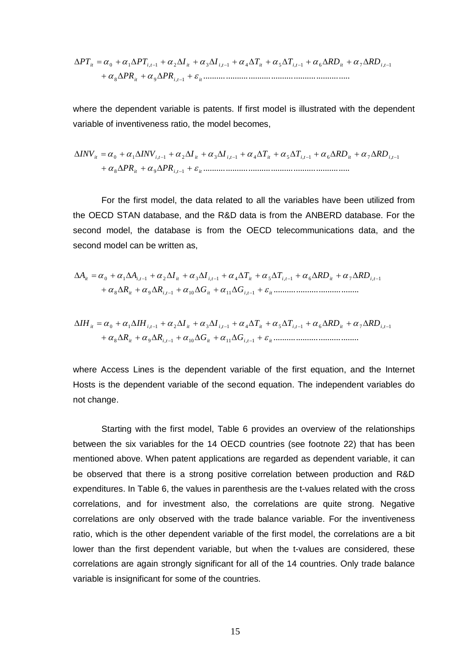$$
\Delta PT_{ii} = \alpha_0 + \alpha_1 \Delta PT_{i,t-1} + \alpha_2 \Delta I_{it} + \alpha_3 \Delta I_{i,t-1} + \alpha_4 \Delta T_{it} + \alpha_5 \Delta T_{i,t-1} + \alpha_6 \Delta RD_{it} + \alpha_7 \Delta RD_{i,t-1} + \alpha_8 \Delta PR_{it} + \alpha_9 \Delta PR_{i,t-1} + \varepsilon_{it}
$$

where the dependent variable is patents. If first model is illustrated with the dependent variable of inventiveness ratio, the model becomes,

$$
\Delta INV_{ii} = \alpha_0 + \alpha_1 \Delta INV_{i,t-1} + \alpha_2 \Delta I_{it} + \alpha_3 \Delta I_{i,t-1} + \alpha_4 \Delta T_{it} + \alpha_5 \Delta T_{i,t-1} + \alpha_6 \Delta RD_{it} + \alpha_7 \Delta RD_{i,t-1} + \alpha_8 \Delta PR_{it} + \alpha_9 \Delta PR_{i,t-1} + \varepsilon_{it}
$$

For the first model, the data related to all the variables have been utilized from the OECD STAN database, and the R&D data is from the ANBERD database. For the second model, the database is from the OECD telecommunications data, and the second model can be written as,

$$
\Delta A_{it} = \alpha_0 + \alpha_1 \Delta A_{i,t-1} + \alpha_2 \Delta I_{it} + \alpha_3 \Delta I_{i,t-1} + \alpha_4 \Delta T_{it} + \alpha_5 \Delta T_{i,t-1} + \alpha_6 \Delta R D_{it} + \alpha_7 \Delta R D_{i,t-1} + \alpha_8 \Delta R_{it} + \alpha_9 \Delta R_{i,t-1} + \alpha_{10} \Delta G_{it} + \alpha_{11} \Delta G_{i,t-1} + \varepsilon_{it}
$$

$$
\Delta IH_{it} = \alpha_0 + \alpha_1 \Delta IH_{i,t-1} + \alpha_2 \Delta I_{it} + \alpha_3 \Delta I_{i,t-1} + \alpha_4 \Delta T_{it} + \alpha_5 \Delta T_{i,t-1} + \alpha_6 \Delta RD_{it} + \alpha_7 \Delta RD_{i,t-1}
$$

$$
+ \alpha_8 \Delta R_{it} + \alpha_9 \Delta R_{i,t-1} + \alpha_{10} \Delta G_{it} + \alpha_{11} \Delta G_{i,t-1} + \varepsilon_{it} \dots \dots \dots \dots \dots \dots \dots \dots \dots \dots \dots
$$

where Access Lines is the dependent variable of the first equation, and the Internet Hosts is the dependent variable of the second equation. The independent variables do not change.

Starting with the first model, Table 6 provides an overview of the relationships between the six variables for the 14 OECD countries (see footnote 22) that has been mentioned above. When patent applications are regarded as dependent variable, it can be observed that there is a strong positive correlation between production and R&D expenditures. In Table 6, the values in parenthesis are the t-values related with the cross correlations, and for investment also, the correlations are quite strong. Negative correlations are only observed with the trade balance variable. For the inventiveness ratio, which is the other dependent variable of the first model, the correlations are a bit lower than the first dependent variable, but when the t-values are considered, these correlations are again strongly significant for all of the 14 countries. Only trade balance variable is insignificant for some of the countries.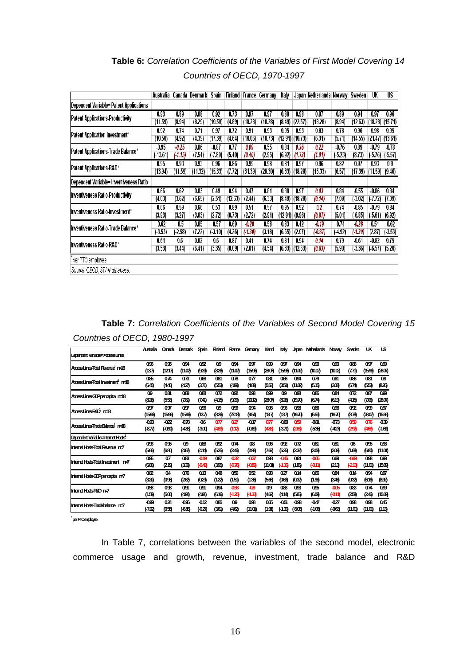|                                         | Australia           | Canada           | Denmark         | Spain              | Finland         | France             | Germany         | talv            |                             | Japan Netherlands Norway |                   | Sweden                      | UK                          | US                             |
|-----------------------------------------|---------------------|------------------|-----------------|--------------------|-----------------|--------------------|-----------------|-----------------|-----------------------------|--------------------------|-------------------|-----------------------------|-----------------------------|--------------------------------|
| Dependent Variable= Patent Applications |                     |                  |                 |                    |                 |                    |                 |                 |                             |                          |                   |                             |                             |                                |
| Patent Applications-Productivity        | 0.93<br>(11.59)     | 0.89<br>(8.94)   | 0.88<br>(8.29)  | 0.92<br>(10.50)    | 0.73<br>(4.89)  | 0.97<br>(18.28)    | 0.97<br>(18.28) | 0.88            | 0.98<br>$(8.49)$ $(22.57)$  | 0.97<br>(18.28)          | 0.89<br>(8.94)    | 0.94<br>(12.63)             | 0.97                        | 0.96<br>$(18.28)$ $(15.71)$    |
| Patent Application-Investment*          | 0.92<br>(10.50)     | 0.74<br>(4.92)   | 0.71<br>(4.39)  | 0.97<br>(17.39)    | 0.72<br>(4.64)  | 0.91<br>(10.06)    | 0.93<br>(10.73) | 0.95            | 0.93<br>$(12.91)$ $(10.73)$ | 0.83<br>(6.31)           | 0.78<br>(5.71)    | 0.96<br>(14.55)             | 0.98<br>$(21.47)$ $(13.61)$ | 0.95                           |
| Patent Applications-Trade Balance*      | $-0.95$<br>(-13.61) | -0.25<br>(.1.15) | 0.86<br>(7.54)  | $-0.87$<br>(.7.89) | 0.77<br>(5.40)  | 0.09<br>(0.40)     | 0.55<br>(2.95)  | 0.84<br>(6.92)  | 0.36<br>(1.73)              | 0.22<br>(1.01)           | -0.76<br>(5.23)   | 0.89<br>(8.73)              | -0.79                       | $-0.78$<br>$(.5.76)$ $(.5.57)$ |
| Patent Applications-R&D*                | 0.95<br>(13.94)     | 0.93<br>(11.59)  | 0.93<br>(11.32) | 0.96<br>(15.33)    | 0.86<br>(7.72)  | 0.99<br>(31.39)    | 0.98<br>(20.30) | 0.81            | 0.97<br>$(6.33)$ $(18.28)$  | 0.96<br>(15.33)          | 0.82<br>(6.57)    | 0.97<br>$(17.39)$ $(11.59)$ | 0.93                        | 0.9<br>(9.46)                  |
| Dependent Variable= Inventiveness Ratio |                     |                  |                 |                    |                 |                    |                 |                 |                             |                          |                   |                             |                             |                                |
| <b>Inventiveness Ratio-Productivity</b> | 0.66<br>(4.03)      | 0.62<br>(3.62)   | 0.83<br>(6.65)  | 0.49<br>(2.51)     | 0.94<br>(12.63) | 0.47<br>(2.44)     | 0.81<br>(6.33)  | 0.88            | 0.97<br>$(8.49)$ $(18.28)$  | 0.03<br>(0.14)           | 0.84<br>(7.09)    | $-0.55$<br>(.3.02)          | $-0.86$<br>(7.72)           | 0.84<br>(7.09)                 |
| Ilnventiveness Ratio-Investment*        | 0.66<br>(3.93)      | 0.59<br>(3.27)   | 0.66<br>(3.83)  | 0.53<br>(2.72)     | 0.89<br>(8.73)  | 0.51<br>(2.72)     | 0.57<br>(2.94)  | 0.95<br>(12.91) | 0.92<br>(9.96)              | 0.2<br>(0.87)            | 0.74<br>(5.04)    | $-0.85$<br>(6.85)           | -0.79<br>(5.61)             | 0.84<br>(6.92)                 |
| linventiveness Ratio-Trade Balance*     | $-0.62$<br>(3.53)   | $-0.5$<br>(2.58) | 0.85<br>(7.22)  | $-0.57$<br>(.3.10) | 0.69<br>(4.26)  | $-0.28$<br>(.1.30) | 0.58<br>(3.18)  | 0.83<br>(6.65)  | 0.42<br>(2.07)              | -0.19<br>(-0.87)         | $-0.74$<br>(4.92) | $-0.28$<br>(130)            | 0.54<br>(2.87)              | $-0.62$<br>(3.53)              |
| linventiveness Ratio-R&D*               | 0.61<br>(3.53)      | 0.6<br>(3.44)    | 0.82<br>(6.41)  | 0.6<br>(3.35)      | 0.87<br>(8.09)  | 0.41<br>(2.01)     | 0.74<br>(4.54)  | 0.81            | 0.94<br>$(6.33)$ $(12.63)$  | 0.14<br>(0.63)           | 0.79<br>(5.90)    | $-0.61$<br>(.3.36)          | $-0.82$<br>(.6.57)          | 0.75<br>(5.20)                 |
| per PTO employee                        |                     |                  |                 |                    |                 |                    |                 |                 |                             |                          |                   |                             |                             |                                |
| Source: OECD, STAN database.            |                     |                  |                 |                    |                 |                    |                 |                 |                             |                          |                   |                             |                             |                                |

**Table 6:** Correlation Coefficients of the Variables of First Model Covering 14 Countries of OECD, 1970-1997

**Table 7:** Correlation Coefficients of the Variables of Second Model Covering 15 Countries of OECD, 1980-1997

|                                                | <b>Astralia</b>  | Canada   | Denmark | Scein   | Finland | France                   | Gemany           | <b>Inland</b>    | ltaly          | Jacan   | <b>Natrenlands</b> | Noway           | Sweden           | UK               | ιs.       |
|------------------------------------------------|------------------|----------|---------|---------|---------|--------------------------|------------------|------------------|----------------|---------|--------------------|-----------------|------------------|------------------|-----------|
| Letendent Vanade=AccessLines                   |                  |          |         |         |         |                          |                  |                  |                |         |                    |                 |                  |                  |           |
| Acces Lines Total Revente <sup>1</sup> n=18    | 096              | 095      | 094     | QSP     | Q9      | 094                      | 097              | œ                | 097            | 094     | QB                 | QQB             | Qæ               | 097              | 099       |
|                                                | (137)            | (1217)   | (11.02) | (93)    | (826)   | (11.02)                  | (1596)           | (2807)           | 1596)          | (11.02) | (1012)             | (1012)          | (7.71)           | (1596)           | (2807)    |
| AccessLines-Total Investment <sup>1</sup> n=18 | 085              | 074      | 073     | QŒ      | 081     | 078                      | 077              | 081              | 066            | 094     | 079                | 061             | 086              | 081              | Q9        |
|                                                | (645)            | (440)    | (427)   | (371)   | (553)   | (499)                    | (483)            | (553)            | (351)          | (11.02) | (515)              | (308)           | (674)            | (553)            | (826)     |
|                                                | Q9               | 081      | 089     | Qæ      | 072     | 092                      | 0 <sub>3</sub> B | Q99              | 09             | QB      | 086                | 084             | 072              | 087              | 099       |
| AccessLines-CIP per capita n=18                | (826)            | (553)    | (7.81)  | (7.41)  | (415)   | (93)                     | (1012)           | (2807)           | (826)          | (1970)  | (674)              | (619)           | (415)            | (706)            | (2807)    |
| Acces Lines R&D n=18                           | 097              | 097      | Q97     | 096     | Q9      | Q99                      | 094              | 096              | 096            | QB      | 086                | Qœ              | 092              | 099              | 097       |
|                                                | (1596)           | (1596)   | (1596)  | (137)   | (826)   | (Z7.18)                  | (954             | (137)            | (137)          | (1970)  | (653               | (1970)          | (878)            | (2807)           | (1596)    |
|                                                | -093             | $-022$   | -078    | -06     | 077     | $0\overline{\mathbb{Z}}$ | -017             | 077              | -068           | Q59     | -081               | -073            | 05B              | 076              | $-0.39$   |
| AmesLinesTradeBalance n=18                     | (87)             | (090)    | (48)    | (30)    | (483    | (112)                    | (069)            | (483)            | (371)          | (283)   | (53)               | (427)           | (29)             | (468)            | $(-1.69)$ |
| Denerdent Variable=Internet Hosts              |                  |          |         |         |         |                          |                  |                  |                |         |                    |                 |                  |                  |           |
| Internet Hosts-Total Revenue n=7               | Q <sub>9</sub> B | 095      | Q9      | Qæ      | 092     | 074                      | 08               | 096              | 0 <sub>c</sub> | 072     | 081                | 081             | 06               | 095              | 098       |
|                                                | (566)            | (680)    | (462)   | (414)   | (525)   | (24)                     | (29)             | (7.67)           | (525)          | (232)   | (309)              | (309)           | (168)            | (680)            | (11.01)   |
| Internet Hosts-Total Investment n=7            | 095              | $\alpha$ | 083     | $-0.19$ | 087     | -032                     | -037             | Q <sub>9</sub> B | -046           | 064     | $-005$             | <b>Q</b>        | -069             | Q <sub>3</sub> B | 099       |
|                                                | (680)            | (219)    | (33)    | (043)   | (395)   | (-076)                   | (08)             | (11.01)          | $+110$         | (186)   | (-0.11)            | (213)           | (213)            | (11.01)          | (156)     |
|                                                | 082              | 04       | 076     | 013     | 048     | 056                      | 052              | Q <sub>3</sub> B | 027            | 014     | 066                | 084             | 014              | 094              | 097       |
| Internet Hosts-GDPpercapita n=7                | (320)            | (09)     | (262)   | (02)    | (122)   | (151)                    | (13)             | (566)            | (063)          | (032)   | (1.93)             | (346)           | (032)            | (616)            | (892)     |
| Internet HostsR&D n=7                          | Q <sub>5</sub> B | QSB      | 091     | 091     | 094     | -053                     | $-08$            | Q9               | Q8B            | QB      | 095                | $-005$          | 083              | 074              | 099       |
|                                                | (159)            | (566)    | (49)    | (491)   | (616)   | (-125)                   | (13)             | (462)            | (414)          | (566)   | (609)              | (-011)          | (25)             | (24)             | (1560)    |
|                                                | -099             | 024      | -096    | $-012$  | 085     | Q9                       | QB               | 065              | $-0.51$        | -098    | $-047$             | $0\overline{Z}$ | Q <sub>9</sub> B | Q <sub>3</sub> B | 045       |
| Internet Hosts-Tradebalance n=7                | (702)            | (05)     | (680)   | (027)   | (361)   | (462)                    | (11.01)          | (191)            | (13)           | (50)    | (4.06)             | (063)           | (11.01)          | (11.01)          | (1.13)    |

**<sup>1</sup>perPTOemployee**

In Table 7, correlations between the variables of the second model, electronic commerce usage and growth, revenue, investment, trade balance and R&D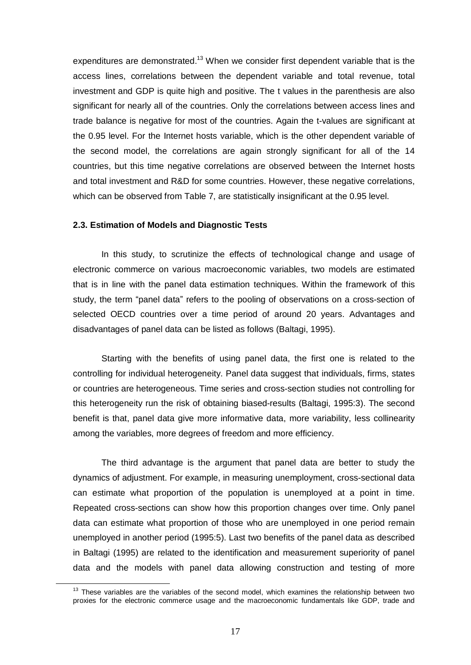expenditures are demonstrated.<sup>13</sup> When we consider first dependent variable that is the access lines, correlations between the dependent variable and total revenue, total investment and GDP is quite high and positive. The t values in the parenthesis are also significant for nearly all of the countries. Only the correlations between access lines and trade balance is negative for most of the countries. Again the t-values are significant at the 0.95 level. For the Internet hosts variable, which is the other dependent variable of the second model, the correlations are again strongly significant for all of the 14 countries, but this time negative correlations are observed between the Internet hosts and total investment and R&D for some countries. However, these negative correlations, which can be observed from Table 7, are statistically insignificant at the 0.95 level.

#### **2.3. Estimation of Models and Diagnostic Tests**

In this study, to scrutinize the effects of technological change and usage of electronic commerce on various macroeconomic variables, two models are estimated that is in line with the panel data estimation techniques. Within the framework of this study, the term "panel data" refers to the pooling of observations on a cross-section of selected OECD countries over a time period of around 20 years. Advantages and disadvantages of panel data can be listed as follows (Baltagi, 1995).

Starting with the benefits of using panel data, the first one is related to the controlling for individual heterogeneity. Panel data suggest that individuals, firms, states or countries are heterogeneous. Time series and cross-section studies not controlling for this heterogeneity run the risk of obtaining biased-results (Baltagi, 1995:3). The second benefit is that, panel data give more informative data, more variability, less collinearity among the variables, more degrees of freedom and more efficiency.

The third advantage is the argument that panel data are better to study the dynamics of adjustment. For example, in measuring unemployment, cross-sectional data can estimate what proportion of the population is unemployed at a point in time. Repeated cross-sections can show how this proportion changes over time. Only panel data can estimate what proportion of those who are unemployed in one period remain unemployed in another period (1995:5). Last two benefits of the panel data as described in Baltagi (1995) are related to the identification and measurement superiority of panel data and the models with panel data allowing construction and testing of more

 $13$  These variables are the variables of the second model, which examines the relationship between two proxies for the electronic commerce usage and the macroeconomic fundamentals like GDP, trade and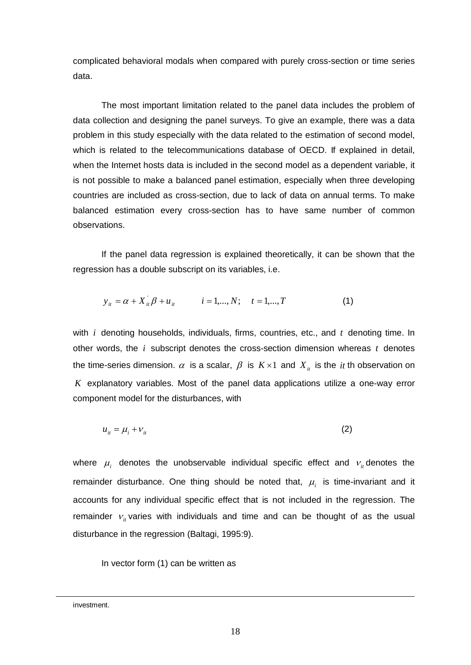complicated behavioral modals when compared with purely cross-section or time series data.

The most important limitation related to the panel data includes the problem of data collection and designing the panel surveys. To give an example, there was a data problem in this study especially with the data related to the estimation of second model, which is related to the telecommunications database of OECD. If explained in detail, when the Internet hosts data is included in the second model as a dependent variable, it is not possible to make a balanced panel estimation, especially when three developing countries are included as cross-section, due to lack of data on annual terms. To make balanced estimation every cross-section has to have same number of common observations.

If the panel data regression is explained theoretically, it can be shown that the regression has a double subscript on its variables, i.e.

$$
y_{it} = \alpha + X_{it}^{\dagger} \beta + u_{it} \qquad i = 1,..., N; \quad t = 1,..., T \qquad (1)
$$

with *i* denoting households, individuals, firms, countries, etc., and *t* denoting time. In other words, the  $i$  subscript denotes the cross-section dimension whereas  $t$  denotes the time-series dimension.  $\alpha$  is a scalar,  $\beta$  is  $K \times 1$  and  $X_i$  is the *it* th observation on *K* explanatory variables. Most of the panel data applications utilize a one-way error component model for the disturbances, with

$$
u_{it} = \mu_i + \nu_{it} \tag{2}
$$

where  $\mu_i$  denotes the unobservable individual specific effect and  $v_i$  denotes the remainder disturbance. One thing should be noted that,  $\mu_i$  is time-invariant and it accounts for any individual specific effect that is not included in the regression. The remainder  $v_{it}$  varies with individuals and time and can be thought of as the usual disturbance in the regression (Baltagi, 1995:9).

In vector form (1) can be written as

investment.

 $\overline{\phantom{0}}$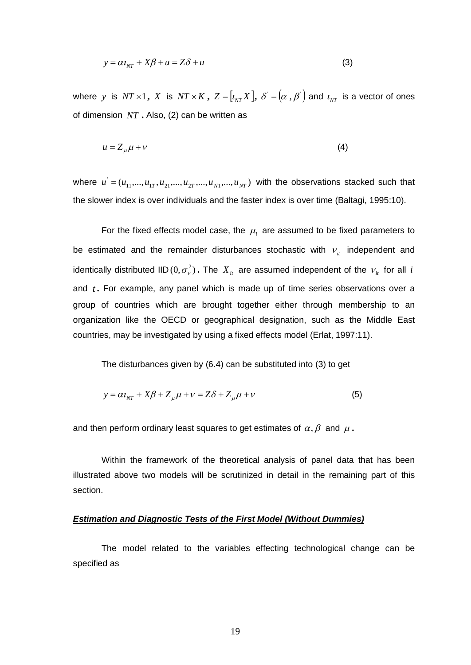$$
y = \alpha t_{NT} + X\beta + u = Z\delta + u \tag{3}
$$

where  $y$  is  $NT \times 1$ ,  $X$  is  $NT \times K$ ,  $Z = \left[ t_{NT} X \right], \; \delta^{'} = \left( \alpha^{'}, \beta^{'} \right)$  and  $t_{NT}$  is a vector of ones of dimension *NT* **.** Also, (2) can be written as

$$
u = Z_{\mu}\mu + \nu \tag{4}
$$

where  $u^{'} = (u_{11},...,u_{1T}, u_{21},...,u_{2T},...,u_{N1},...,u_{NT})$  with the observations stacked such that the slower index is over individuals and the faster index is over time (Baltagi, 1995:10).

For the fixed effects model case, the  $\mu_i$  are assumed to be fixed parameters to be estimated and the remainder disturbances stochastic with  $v_{it}$  independent and identically distributed IID  $(0, \sigma_{\nu}^2)$  . The  $X_{it}$  are assumed independent of the  $v_{it}$  for all *i* and *t* **.** For example, any panel which is made up of time series observations over a group of countries which are brought together either through membership to an organization like the OECD or geographical designation, such as the Middle East countries, may be investigated by using a fixed effects model (Erlat, 1997:11).

The disturbances given by (6.4) can be substituted into (3) to get

$$
y = \alpha t_{NT} + X\beta + Z_{\mu}\mu + \nu = Z\delta + Z_{\mu}\mu + \nu
$$
\n(5)

and then perform ordinary least squares to get estimates of  $\alpha$ ,  $\beta$  and  $\mu$ .

Within the framework of the theoretical analysis of panel data that has been illustrated above two models will be scrutinized in detail in the remaining part of this section.

#### **Estimation and Diagnostic Tests of the First Model (Without Dummies)**

The model related to the variables effecting technological change can be specified as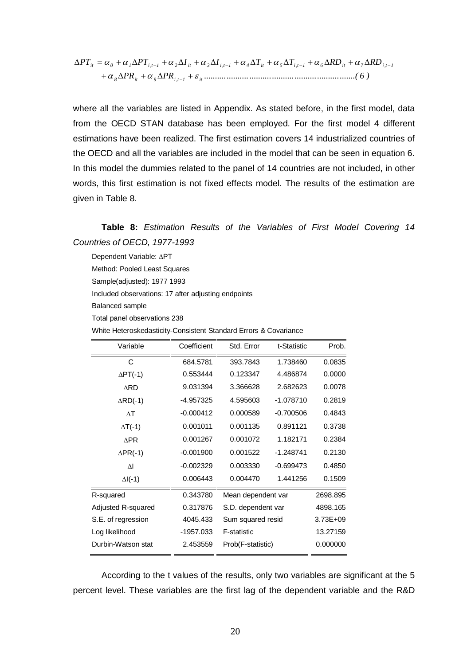$$
\Delta PT_{ii} = \alpha_0 + \alpha_1 \Delta PT_{i,t-1} + \alpha_2 \Delta I_{it} + \alpha_3 \Delta I_{i,t-1} + \alpha_4 \Delta T_{it} + \alpha_5 \Delta T_{i,t-1} + \alpha_6 \Delta RD_{it} + \alpha_7 \Delta RD_{i,t-1} + \alpha_8 \Delta PR_{it} + \alpha_9 \Delta PR_{i,t-1} + \varepsilon_{it}
$$
 (6)

where all the variables are listed in Appendix. As stated before, in the first model, data from the OECD STAN database has been employed. For the first model 4 different estimations have been realized. The first estimation covers 14 industrialized countries of the OECD and all the variables are included in the model that can be seen in equation 6. In this model the dummies related to the panel of 14 countries are not included, in other words, this first estimation is not fixed effects model. The results of the estimation are given in Table 8.

Dependent Variable: APT

Method: Pooled Least Squares

Sample(adjusted): 1977 1993

Included observations: 17 after adjusting endpoints

Balanced sample

Total panel observations 238

White Heteroskedasticity-Consistent Standard Errors & Covariance

| Variable             | Coefficient | Std. Error              | Prob.       |          |
|----------------------|-------------|-------------------------|-------------|----------|
| С                    | 684.5781    | 393.7843                | 1.738460    | 0.0835   |
| $\Delta PT(-1)$      | 0.553444    | 0.123347                | 4.486874    | 0.0000   |
| <b>ARD</b>           | 9.031394    | 3.366628                | 2.682623    | 0.0078   |
| $\triangle$ RD(-1)   | -4.957325   | 4.595603                | -1.078710   | 0.2819   |
| $\wedge$ T           | $-0.000412$ | 0.000589                | $-0.700506$ | 0.4843   |
| $\Delta T$ (-1)      | 0.001011    | 0.001135                | 0.891121    | 0.3738   |
| <b>APR</b>           | 0.001267    | 0.001072                | 1.182171    | 0.2384   |
| $\Delta PR(-1)$      | $-0.001900$ | 0.001522<br>$-1.248741$ |             | 0.2130   |
| $\overline{\Lambda}$ | $-0.002329$ | 0.003330                | -0.699473   | 0.4850   |
| $\Delta I(-1)$       | 0.006443    | 0.004470                | 1.441256    | 0.1509   |
| R-squared            | 0.343780    | Mean dependent var      |             | 2698.895 |
| Adjusted R-squared   | 0.317876    | S.D. dependent var      |             | 4898.165 |
| S.E. of regression   | 4045.433    | Sum squared resid       |             | 3.73E+09 |
| Log likelihood       | -1957.033   | F-statistic             |             | 13.27159 |
| Durbin-Watson stat   | 2.453559    | Prob(F-statistic)       |             | 0.000000 |

According to the t values of the results, only two variables are significant at the 5 percent level. These variables are the first lag of the dependent variable and the R&D

**Table 8:** Estimation Results of the Variables of First Model Covering 14 Countries of OECD, 1977-1993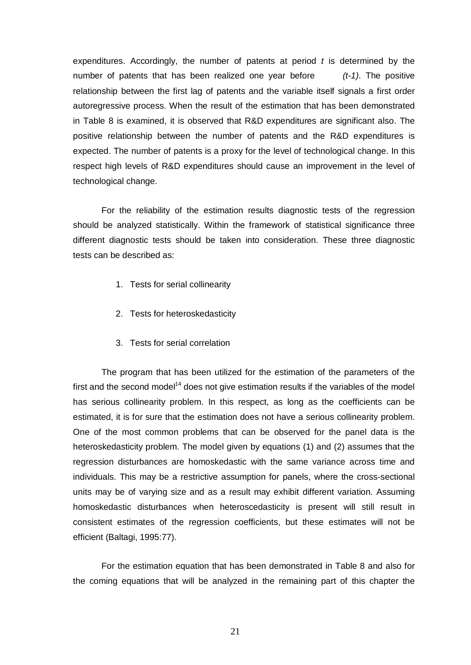expenditures. Accordingly, the number of patents at period  $t$  is determined by the number of patents that has been realized one year before  $(t-1)$ . The positive relationship between the first lag of patents and the variable itself signals a first order autoregressive process. When the result of the estimation that has been demonstrated in Table 8 is examined, it is observed that R&D expenditures are significant also. The positive relationship between the number of patents and the R&D expenditures is expected. The number of patents is a proxy for the level of technological change. In this respect high levels of R&D expenditures should cause an improvement in the level of technological change.

For the reliability of the estimation results diagnostic tests of the regression should be analyzed statistically. Within the framework of statistical significance three different diagnostic tests should be taken into consideration. These three diagnostic tests can be described as:

- 1. Tests for serial collinearity
- 2. Tests for heteroskedasticity
- 3. Tests for serial correlation

The program that has been utilized for the estimation of the parameters of the first and the second model<sup>14</sup> does not give estimation results if the variables of the model has serious collinearity problem. In this respect, as long as the coefficients can be estimated, it is for sure that the estimation does not have a serious collinearity problem. One of the most common problems that can be observed for the panel data is the heteroskedasticity problem. The model given by equations (1) and (2) assumes that the regression disturbances are homoskedastic with the same variance across time and individuals. This may be a restrictive assumption for panels, where the cross-sectional units may be of varying size and as a result may exhibit different variation. Assuming homoskedastic disturbances when heteroscedasticity is present will still result in consistent estimates of the regression coefficients, but these estimates will not be efficient (Baltagi, 1995:77).

For the estimation equation that has been demonstrated in Table 8 and also for the coming equations that will be analyzed in the remaining part of this chapter the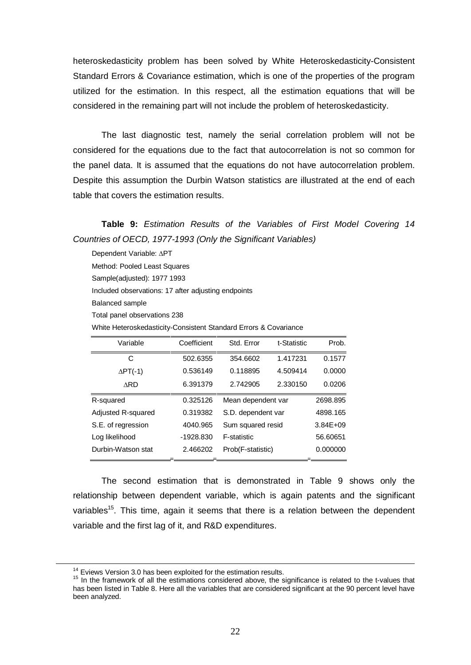heteroskedasticity problem has been solved by White Heteroskedasticity-Consistent Standard Errors & Covariance estimation, which is one of the properties of the program utilized for the estimation. In this respect, all the estimation equations that will be considered in the remaining part will not include the problem of heteroskedasticity.

The last diagnostic test, namely the serial correlation problem will not be considered for the equations due to the fact that autocorrelation is not so common for the panel data. It is assumed that the equations do not have autocorrelation problem. Despite this assumption the Durbin Watson statistics are illustrated at the end of each table that covers the estimation results.

**Table 9:** Estimation Results of the Variables of First Model Covering 14 Countries of OECD, 1977-1993 (Only the Significant Variables)

Dependent Variable: APT Method: Pooled Least Squares Sample(adjusted): 1977 1993 Included observations: 17 after adjusting endpoints Balanced sample Total panel observations 238

White Heteroskedasticity-Consistent Standard Errors & Covariance

| Variable           | Coefficient | Std. Error         | t-Statistic | Prob.        |
|--------------------|-------------|--------------------|-------------|--------------|
| С                  | 502.6355    | 354.6602           | 1.417231    | 0.1577       |
| $\Delta PT(-1)$    | 0.536149    | 0.118895           | 4.509414    | 0.0000       |
| <b>ARD</b>         | 6.391379    | 2.742905           | 2.330150    | 0.0206       |
| R-squared          | 0.325126    | Mean dependent var | 2698.895    |              |
| Adjusted R-squared | 0.319382    | S.D. dependent var |             | 4898.165     |
| S.E. of regression | 4040.965    | Sum squared resid  |             | $3.84E + 09$ |
| Log likelihood     | $-1928.830$ | <b>F-statistic</b> | 56.60651    |              |
| Durbin-Watson stat | 2.466202    | Prob(F-statistic)  | 0.000000    |              |

The second estimation that is demonstrated in Table 9 shows only the relationship between dependent variable, which is again patents and the significant variables<sup>15</sup>. This time, again it seems that there is a relation between the dependent variable and the first lag of it, and R&D expenditures.

 $14$  Eviews Version 3.0 has been exploited for the estimation results.

<sup>&</sup>lt;sup>15</sup> In the framework of all the estimations considered above, the significance is related to the t-values that has been listed in Table 8. Here all the variables that are considered significant at the 90 percent level have been analyzed.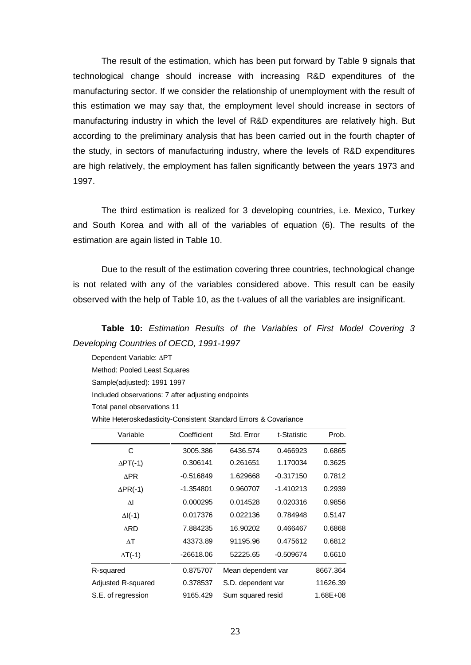The result of the estimation, which has been put forward by Table 9 signals that technological change should increase with increasing R&D expenditures of the manufacturing sector. If we consider the relationship of unemployment with the result of this estimation we may say that, the employment level should increase in sectors of manufacturing industry in which the level of R&D expenditures are relatively high. But according to the preliminary analysis that has been carried out in the fourth chapter of the study, in sectors of manufacturing industry, where the levels of R&D expenditures are high relatively, the employment has fallen significantly between the years 1973 and 1997.

The third estimation is realized for 3 developing countries, i.e. Mexico, Turkey and South Korea and with all of the variables of equation (6). The results of the estimation are again listed in Table 10.

Due to the result of the estimation covering three countries, technological change is not related with any of the variables considered above. This result can be easily observed with the help of Table 10, as the t-values of all the variables are insignificant.

**Table 10:** Estimation Results of the Variables of First Model Covering 3 Developing Countries of OECD, 1991-1997

Dependent Variable: APT

Method: Pooled Least Squares

Sample(adjusted): 1991 1997

Included observations: 7 after adjusting endpoints

Total panel observations 11

| White Heteroskedasticity-Consistent Standard Errors & Covariance |
|------------------------------------------------------------------|
|------------------------------------------------------------------|

| Variable           | Coefficient | Std. Error         | t-Statistic       | Prob.    |  |  |
|--------------------|-------------|--------------------|-------------------|----------|--|--|
| C                  | 3005.386    | 6436.574           | 0.466923          | 0.6865   |  |  |
| $\Delta PT(-1)$    | 0.306141    | 0.261651           | 1.170034          | 0.3625   |  |  |
| APR                | $-0.516849$ | 1.629668           | $-0.317150$       | 0.7812   |  |  |
| $\Delta PR(-1)$    | $-1.354801$ | 0.960707           | $-1.410213$       | 0.2939   |  |  |
| ΛI                 | 0.000295    | 0.014528           | 0.020316          | 0.9856   |  |  |
| $\Delta$ I(-1)     | 0.017376    | 0.022136           | 0.784948          | 0.5147   |  |  |
| <b>ARD</b>         | 7.884235    | 16.90202           | 0.466467          | 0.6868   |  |  |
| $\wedge$ T         | 43373.89    | 91195.96           | 0.475612          | 0.6812   |  |  |
| $\Delta T$ (-1)    | $-26618.06$ | 52225.65           | $-0.509674$       | 0.6610   |  |  |
| R-squared          | 0.875707    | Mean dependent var |                   | 8667.364 |  |  |
| Adjusted R-squared | 0.378537    | S.D. dependent var |                   | 11626.39 |  |  |
| S.E. of regression | 9165.429    |                    | Sum squared resid |          |  |  |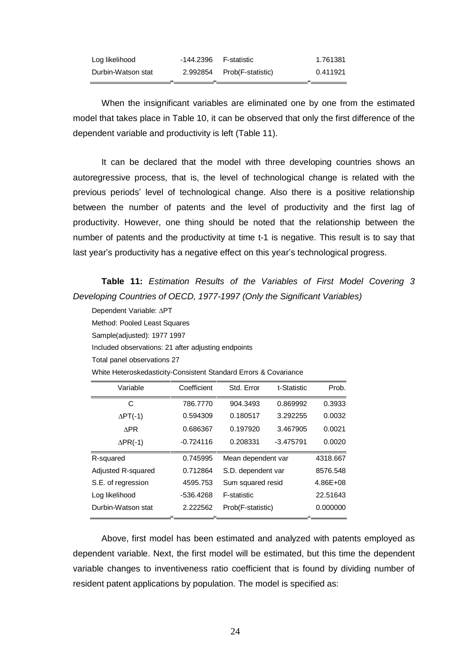| Log likelihood     | -144.2396 | F-statistic                | 1.761381 |
|--------------------|-----------|----------------------------|----------|
| Durbin-Watson stat |           | 2.992854 Prob(F-statistic) | 0.411921 |

When the insignificant variables are eliminated one by one from the estimated model that takes place in Table 10, it can be observed that only the first difference of the dependent variable and productivity is left (Table 11).

It can be declared that the model with three developing countries shows an autoregressive process, that is, the level of technological change is related with the previous periodsí level of technological change. Also there is a positive relationship between the number of patents and the level of productivity and the first lag of productivity. However, one thing should be noted that the relationship between the number of patents and the productivity at time t-1 is negative. This result is to say that last year's productivity has a negative effect on this year's technological progress.

**Table 11:** Estimation Results of the Variables of First Model Covering 3 Developing Countries of OECD, 1977-1997 (Only the Significant Variables)

| Dependent Variable: ∆PT                                          |             |                           |             |          |  |  |
|------------------------------------------------------------------|-------------|---------------------------|-------------|----------|--|--|
| Method: Pooled Least Squares                                     |             |                           |             |          |  |  |
| Sample(adjusted): 1977 1997                                      |             |                           |             |          |  |  |
| Included observations: 21 after adjusting endpoints              |             |                           |             |          |  |  |
| Total panel observations 27                                      |             |                           |             |          |  |  |
| White Heteroskedasticity-Consistent Standard Errors & Covariance |             |                           |             |          |  |  |
| Variable                                                         | Coefficient | Std. Error<br>t-Statistic |             | Prob.    |  |  |
| C                                                                | 786.7770    | 904.3493                  | 0.869992    | 0.3933   |  |  |
| $\Delta PT(-1)$                                                  | 0.594309    | 0.180517<br>3.292255      |             | 0.0032   |  |  |
| <b>APR</b>                                                       | 0.686367    | 0.197920                  | 3.467905    | 0.0021   |  |  |
| $\Delta PR(-1)$                                                  | $-0.724116$ | 0.208331                  | $-3.475791$ | 0.0020   |  |  |
| R-squared                                                        | 0.745995    | Mean dependent var        |             | 4318.667 |  |  |
| Adjusted R-squared                                               | 0.712864    | S.D. dependent var        |             | 8576.548 |  |  |
| S.E. of regression                                               | 4595.753    | Sum squared resid         |             | 4.86E+08 |  |  |
| Log likelihood                                                   | -536.4268   | F-statistic               |             | 22.51643 |  |  |
| Durbin-Watson stat                                               | 2.222562    | Prob(F-statistic)         |             | 0.000000 |  |  |

Above, first model has been estimated and analyzed with patents employed as dependent variable. Next, the first model will be estimated, but this time the dependent variable changes to inventiveness ratio coefficient that is found by dividing number of resident patent applications by population. The model is specified as: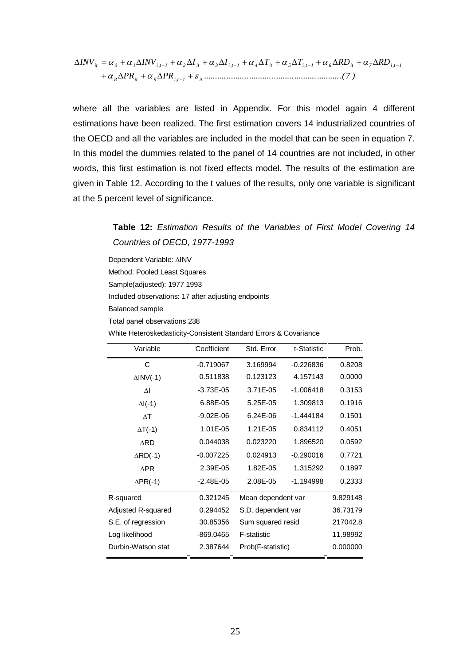$$
\Delta INV_{it} = \alpha_o + \alpha_1 \Delta INV_{i,t-1} + \alpha_2 \Delta I_{it} + \alpha_3 \Delta I_{i,t-1} + \alpha_4 \Delta T_{it} + \alpha_5 \Delta T_{i,t-1} + \alpha_6 \Delta RD_{it} + \alpha_7 \Delta RD_{i,t-1} + \alpha_8 \Delta PR_{it} + \alpha_9 \Delta PR_{i,t-1} + \varepsilon_{it}
$$

where all the variables are listed in Appendix. For this model again 4 different estimations have been realized. The first estimation covers 14 industrialized countries of the OECD and all the variables are included in the model that can be seen in equation 7. In this model the dummies related to the panel of 14 countries are not included, in other words, this first estimation is not fixed effects model. The results of the estimation are given in Table 12. According to the t values of the results, only one variable is significant at the 5 percent level of significance.

# **Table 12:** Estimation Results of the Variables of First Model Covering 14 Countries of OECD, 1977-1993

Dependent Variable: AINV Method: Pooled Least Squares Sample(adjusted): 1977 1993 Included observations: 17 after adjusting endpoints Balanced sample Total panel observations 238

White Heteroskedasticity-Consistent Standard Errors & Covariance

| Variable            | Coefficient   | Std. Error         | t-Statistic | Prob.    |
|---------------------|---------------|--------------------|-------------|----------|
| C                   | $-0.719067$   | 3.169994           | $-0.226836$ | 0.8208   |
| $\triangle INV(-1)$ | 0.511838      | 0.123123           | 4.157143    | 0.0000   |
| $\Delta I$          | $-3.73E - 05$ | 3.71E-05           | $-1.006418$ | 0.3153   |
| $\Delta I(-1)$      | 6.88E-05      | 5.25E-05           | 1.309813    | 0.1916   |
| $\wedge$ T          | $-9.02E - 06$ | 6.24F-06           | $-1.444184$ | 0.1501   |
| $\Delta T$ (-1)     | 1.01E-05      | 1.21E-05           | 0.834112    | 0.4051   |
| <b>ARD</b>          | 0.044038      | 0.023220           | 1.896520    | 0.0592   |
| $\triangle RD(-1)$  | $-0.007225$   | 0.024913           | $-0.290016$ | 0.7721   |
| <b>APR</b>          | 2.39E-05      | 1.82E-05           | 1.315292    | 0.1897   |
| $\Delta PR(-1)$     | $-2.48E - 05$ | 2.08E-05           | $-1.194998$ | 0.2333   |
| R-squared           | 0.321245      | Mean dependent var |             | 9.829148 |
| Adjusted R-squared  | 0.294452      | S.D. dependent var |             | 36.73179 |
| S.E. of regression  | 30.85356      | Sum squared resid  |             | 217042.8 |
| Log likelihood      | $-869.0465$   | F-statistic        |             | 11.98992 |
| Durbin-Watson stat  | 2.387644      | Prob(F-statistic)  |             | 0.000000 |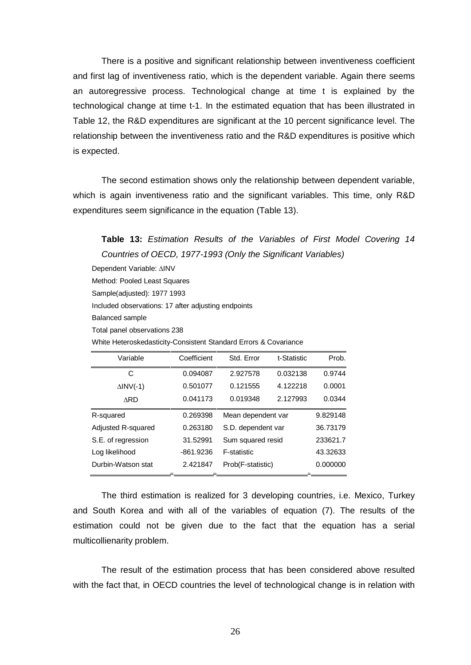There is a positive and significant relationship between inventiveness coefficient and first lag of inventiveness ratio, which is the dependent variable. Again there seems an autoregressive process. Technological change at time t is explained by the technological change at time t-1. In the estimated equation that has been illustrated in Table 12, the R&D expenditures are significant at the 10 percent significance level. The relationship between the inventiveness ratio and the R&D expenditures is positive which is expected.

The second estimation shows only the relationship between dependent variable, which is again inventiveness ratio and the significant variables. This time, only R&D expenditures seem significance in the equation (Table 13).

### **Table 13:** Estimation Results of the Variables of First Model Covering 14 Countries of OECD, 1977-1993 (Only the Significant Variables)

Dependent Variable: AINV Method: Pooled Least Squares Sample(adjusted): 1977 1993 Included observations: 17 after adjusting endpoints Balanced sample Total panel observations 238 White Heteroskedasticity-Consistent Standard Errors & Covariance

| Variable            | Coefficient | Std. Error         | t-Statistic | Prob.    |
|---------------------|-------------|--------------------|-------------|----------|
| С                   | 0.094087    | 2.927578           | 0.032138    | 0.9744   |
| $\triangle INV(-1)$ | 0.501077    | 0.121555           | 4.122218    | 0.0001   |
| <b>ARD</b>          | 0.041173    | 0.019348           | 2.127993    | 0.0344   |
| R-squared           | 0.269398    | Mean dependent var |             | 9.829148 |
| Adjusted R-squared  | 0.263180    | S.D. dependent var |             | 36.73179 |
| S.E. of regression  | 31.52991    | Sum squared resid  |             | 233621.7 |
| Log likelihood      | $-861.9236$ | <b>F-statistic</b> |             | 43.32633 |
| Durbin-Watson stat  | 2.421847    | Prob(F-statistic)  |             | 0.000000 |

The third estimation is realized for 3 developing countries, i.e. Mexico, Turkey and South Korea and with all of the variables of equation (7). The results of the estimation could not be given due to the fact that the equation has a serial multicollienarity problem.

The result of the estimation process that has been considered above resulted with the fact that, in OECD countries the level of technological change is in relation with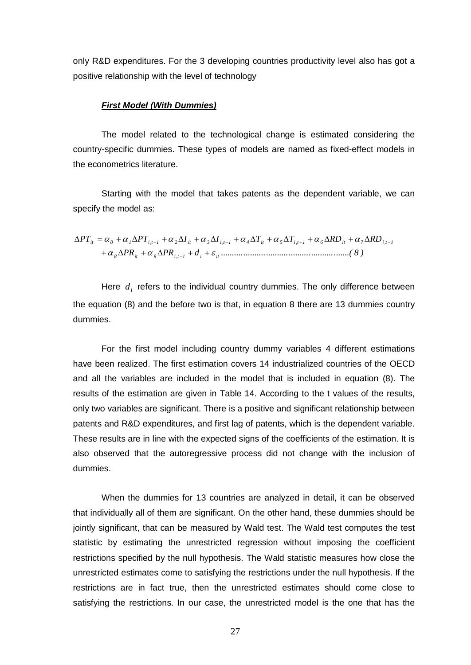only R&D expenditures. For the 3 developing countries productivity level also has got a positive relationship with the level of technology

#### **First Model (With Dummies)**

The model related to the technological change is estimated considering the country-specific dummies. These types of models are named as fixed-effect models in the econometrics literature.

Starting with the model that takes patents as the dependent variable, we can specify the model as:

$$
\Delta PT_{ii} = \alpha_0 + \alpha_1 \Delta PT_{i,t-1} + \alpha_2 \Delta I_{it} + \alpha_3 \Delta I_{i,t-1} + \alpha_4 \Delta T_{it} + \alpha_5 \Delta T_{i,t-1} + \alpha_6 \Delta RD_{it} + \alpha_7 \Delta RD_{i,t-1} + \alpha_8 \Delta PR_{it} + \alpha_9 \Delta PR_{i,t-1} + d_i + \varepsilon_i
$$
 (8)

Here  $d_i$  refers to the individual country dummies. The only difference between the equation (8) and the before two is that, in equation 8 there are 13 dummies country dummies.

For the first model including country dummy variables 4 different estimations have been realized. The first estimation covers 14 industrialized countries of the OECD and all the variables are included in the model that is included in equation (8). The results of the estimation are given in Table 14. According to the t values of the results, only two variables are significant. There is a positive and significant relationship between patents and R&D expenditures, and first lag of patents, which is the dependent variable. These results are in line with the expected signs of the coefficients of the estimation. It is also observed that the autoregressive process did not change with the inclusion of dummies.

When the dummies for 13 countries are analyzed in detail, it can be observed that individually all of them are significant. On the other hand, these dummies should be jointly significant, that can be measured by Wald test. The Wald test computes the test statistic by estimating the unrestricted regression without imposing the coefficient restrictions specified by the null hypothesis. The Wald statistic measures how close the unrestricted estimates come to satisfying the restrictions under the null hypothesis. If the restrictions are in fact true, then the unrestricted estimates should come close to satisfying the restrictions. In our case, the unrestricted model is the one that has the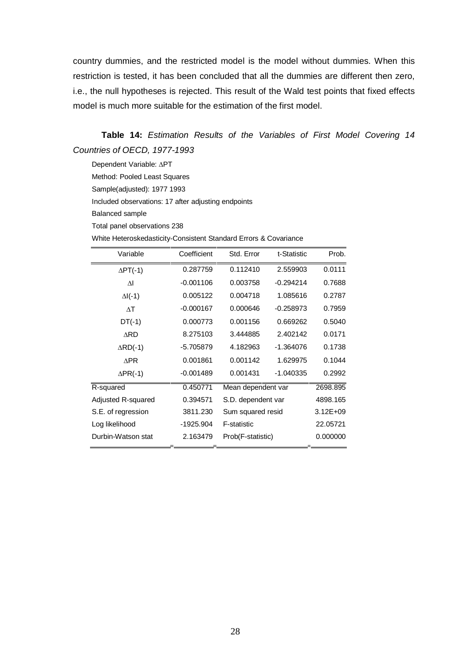country dummies, and the restricted model is the model without dummies. When this restriction is tested, it has been concluded that all the dummies are different then zero, i.e., the null hypotheses is rejected. This result of the Wald test points that fixed effects model is much more suitable for the estimation of the first model.

**Table 14:** Estimation Results of the Variables of First Model Covering 14 Countries of OECD, 1977-1993

Dependent Variable: APT Method: Pooled Least Squares Sample(adjusted): 1977 1993 Included observations: 17 after adjusting endpoints Balanced sample Total panel observations 238

White Heteroskedasticity-Consistent Standard Errors & Covariance

| Variable           | Coefficient | Std. Error         | t-Statistic | Prob.        |
|--------------------|-------------|--------------------|-------------|--------------|
| $\Delta PT(-1)$    | 0.287759    | 0.112410           | 2.559903    | 0.0111       |
| ΔI                 | $-0.001106$ | 0.003758           | $-0.294214$ | 0.7688       |
| $\Delta I(-1)$     | 0.005122    | 0.004718           | 1.085616    | 0.2787       |
| $\Delta T$         | $-0.000167$ | 0.000646           | $-0.258973$ | 0.7959       |
| $DT(-1)$           | 0.000773    | 0.001156           | 0.669262    | 0.5040       |
| <b>ARD</b>         | 8.275103    | 3.444885           | 2.402142    | 0.0171       |
| $\triangle RD(-1)$ | -5.705879   | 4.182963           | -1.364076   | 0.1738       |
| <b>APR</b>         | 0.001861    | 0.001142           | 1.629975    | 0.1044       |
| $\Delta PR(-1)$    | $-0.001489$ | 0.001431           | -1.040335   | 0.2992       |
| R-squared          | 0.450771    | Mean dependent var |             | 2698.895     |
| Adjusted R-squared | 0.394571    | S.D. dependent var |             | 4898.165     |
| S.E. of regression | 3811.230    | Sum squared resid  |             | $3.12E + 09$ |
| Log likelihood     | $-1925.904$ | F-statistic        |             | 22.05721     |
| Durbin-Watson stat | 2.163479    | Prob(F-statistic)  |             | 0.000000     |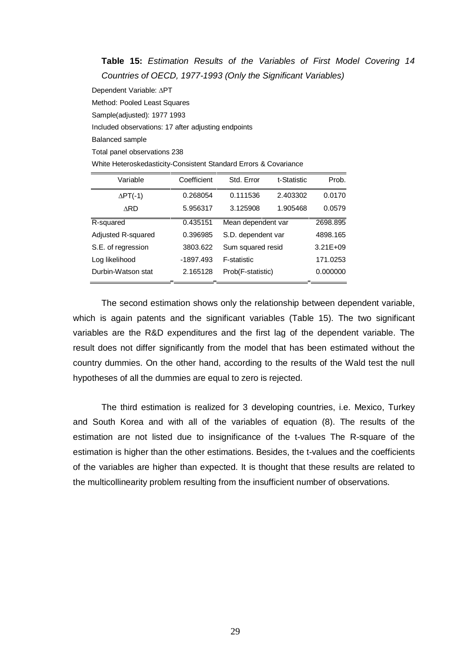**Table 15:** Estimation Results of the Variables of First Model Covering 14 Countries of OECD, 1977-1993 (Only the Significant Variables)

Dependent Variable: APT

Method: Pooled Least Squares Sample(adjusted): 1977 1993

Included observations: 17 after adjusting endpoints

Balanced sample

Total panel observations 238

White Heteroskedasticity-Consistent Standard Errors & Covariance

| Variable                  | Coefficient | Std. Error         | t-Statistic | Prob.        |
|---------------------------|-------------|--------------------|-------------|--------------|
| $\Delta PT(-1)$           | 0.268054    | 0.111536           | 2.403302    | 0.0170       |
| <b>ARD</b>                | 5.956317    | 3.125908           | 1.905468    | 0.0579       |
| R-squared                 | 0.435151    | Mean dependent var |             | 2698.895     |
| <b>Adjusted R-squared</b> | 0.396985    | S.D. dependent var |             | 4898.165     |
| S.E. of regression        | 3803.622    | Sum squared resid  |             | $3.21E + 09$ |
| Log likelihood            | -1897.493   | F-statistic        |             | 171.0253     |
| Durbin-Watson stat        | 2.165128    | Prob(F-statistic)  |             | 0.000000     |

The second estimation shows only the relationship between dependent variable, which is again patents and the significant variables (Table 15). The two significant variables are the R&D expenditures and the first lag of the dependent variable. The result does not differ significantly from the model that has been estimated without the country dummies. On the other hand, according to the results of the Wald test the null hypotheses of all the dummies are equal to zero is rejected.

The third estimation is realized for 3 developing countries, i.e. Mexico, Turkey and South Korea and with all of the variables of equation (8). The results of the estimation are not listed due to insignificance of the t-values The R-square of the estimation is higher than the other estimations. Besides, the t-values and the coefficients of the variables are higher than expected. It is thought that these results are related to the multicollinearity problem resulting from the insufficient number of observations.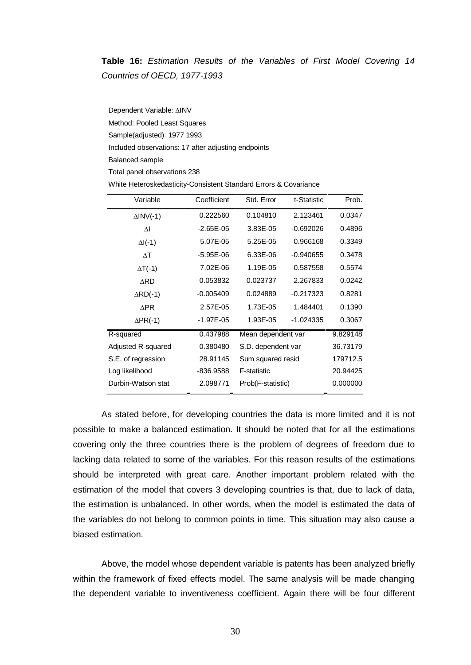## **Table 16:** Estimation Results of the Variables of First Model Covering 14 Countries of OECD, 1977-1993

Dependent Variable: AINV Method: Pooled Least Squares Sample(adjusted): 1977 1993 Included observations: 17 after adjusting endpoints Balanced sample Total panel observations 238

| White Heteroskedasticity-Consistent Standard Errors & Covariance |  |
|------------------------------------------------------------------|--|
|                                                                  |  |

| Variable            | Coefficient   | Std. Error         | t-Statistic | Prob.    |
|---------------------|---------------|--------------------|-------------|----------|
| $\triangle INV(-1)$ | 0.222560      | 0.104810           | 2.123461    | 0.0347   |
| $\Delta I$          | $-2.65E-05$   | 3.83E-05           | $-0.692026$ | 0.4896   |
| $\Delta I(-1)$      | 5.07E-05      | 5.25E-05           | 0.966168    | 0.3349   |
| $\Delta T$          | $-5.95E-06$   | 6.33E-06           | $-0.940655$ | 0.3478   |
| $\Delta T$ (-1)     | 7.02E-06      | 1.19E-05           | 0.587558    | 0.5574   |
| ∆RD                 | 0.053832      | 0.023737           | 2.267833    | 0.0242   |
| $\triangle$ RD(-1)  | $-0.005409$   | 0.024889           | $-0.217323$ | 0.8281   |
| <b>APR</b>          | 2.57E-05      | 1.73E-05           | 1.484401    | 0.1390   |
| $\Delta PR(-1)$     | $-1.97E - 05$ | 1.93E-05           | $-1.024335$ | 0.3067   |
| R-squared           | 0.437988      | Mean dependent var |             | 9.829148 |
| Adjusted R-squared  | 0.380480      | S.D. dependent var |             | 36.73179 |
| S.E. of regression  | 28.91145      | Sum squared resid  |             | 179712.5 |
| Log likelihood      | -836.9588     | F-statistic        |             | 20.94425 |
| Durbin-Watson stat  | 2.098771      | Prob(F-statistic)  |             | 0.000000 |

As stated before, for developing countries the data is more limited and it is not possible to make a balanced estimation. It should be noted that for all the estimations covering only the three countries there is the problem of degrees of freedom due to lacking data related to some of the variables. For this reason results of the estimations should be interpreted with great care. Another important problem related with the estimation of the model that covers 3 developing countries is that, due to lack of data, the estimation is unbalanced. In other words, when the model is estimated the data of the variables do not belong to common points in time. This situation may also cause a biased estimation.

Above, the model whose dependent variable is patents has been analyzed briefly within the framework of fixed effects model. The same analysis will be made changing the dependent variable to inventiveness coefficient. Again there will be four different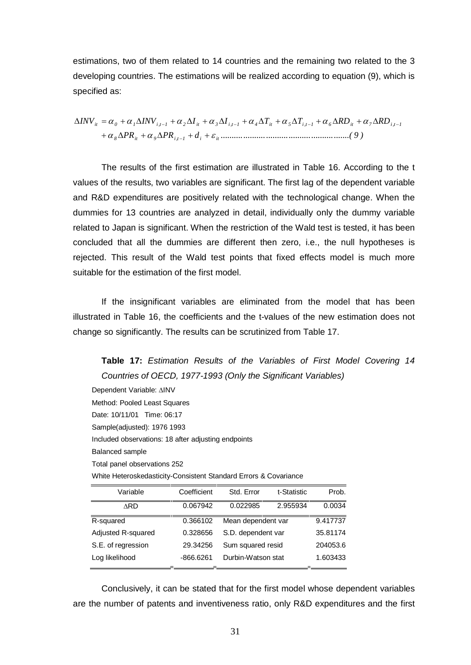estimations, two of them related to 14 countries and the remaining two related to the 3 developing countries. The estimations will be realized according to equation (9), which is specified as:

$$
\Delta INV_{ii} = \alpha_0 + \alpha_1 \Delta INV_{i,t-1} + \alpha_2 \Delta I_{it} + \alpha_3 \Delta I_{i,t-1} + \alpha_4 \Delta T_{it} + \alpha_5 \Delta T_{i,t-1} + \alpha_6 \Delta RD_{it} + \alpha_7 \Delta RD_{i,t-1} + \alpha_8 \Delta PR_{it} + \alpha_9 \Delta PR_{i,t-1} + d_i + \varepsilon_i
$$
 (9)

The results of the first estimation are illustrated in Table 16. According to the t values of the results, two variables are significant. The first lag of the dependent variable and R&D expenditures are positively related with the technological change. When the dummies for 13 countries are analyzed in detail, individually only the dummy variable related to Japan is significant. When the restriction of the Wald test is tested, it has been concluded that all the dummies are different then zero, i.e., the null hypotheses is rejected. This result of the Wald test points that fixed effects model is much more suitable for the estimation of the first model.

If the insignificant variables are eliminated from the model that has been illustrated in Table 16, the coefficients and the t-values of the new estimation does not change so significantly. The results can be scrutinized from Table 17.

**Table 17:** Estimation Results of the Variables of First Model Covering 14 Countries of OECD, 1977-1993 (Only the Significant Variables)

Dependent Variable: AINV Method: Pooled Least Squares Date: 10/11/01 Time: 06:17 Sample(adjusted): 1976 1993 Included observations: 18 after adjusting endpoints Balanced sample Total panel observations 252 White Heteroskedasticity-Consistent Standard Errors & Covariance

| Coefficient | Std. Error         | t-Statistic | Prob.    |
|-------------|--------------------|-------------|----------|
| 0.067942    | 0.022985           | 2.955934    | 0.0034   |
| 0.366102    | Mean dependent var |             | 9.417737 |
| 0.328656    | S.D. dependent var |             | 35.81174 |
| 29.34256    | Sum squared resid  |             | 204053.6 |
| $-866.6261$ | Durbin-Watson stat |             | 1.603433 |
|             |                    |             |          |

Conclusively, it can be stated that for the first model whose dependent variables are the number of patents and inventiveness ratio, only R&D expenditures and the first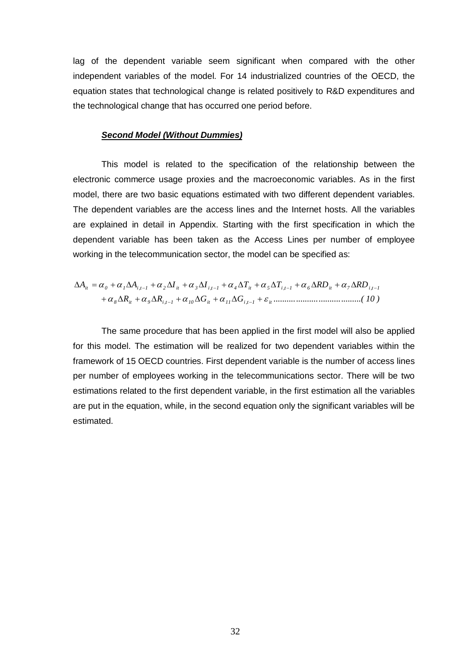lag of the dependent variable seem significant when compared with the other independent variables of the model. For 14 industrialized countries of the OECD, the equation states that technological change is related positively to R&D expenditures and the technological change that has occurred one period before.

#### **Second Model (Without Dummies)**

This model is related to the specification of the relationship between the electronic commerce usage proxies and the macroeconomic variables. As in the first model, there are two basic equations estimated with two different dependent variables. The dependent variables are the access lines and the Internet hosts. All the variables are explained in detail in Appendix. Starting with the first specification in which the dependent variable has been taken as the Access Lines per number of employee working in the telecommunication sector, the model can be specified as:

$$
\Delta A_{ii} = \alpha_0 + \alpha_1 \Delta A_{i,t-1} + \alpha_2 \Delta I_{it} + \alpha_3 \Delta I_{i,t-1} + \alpha_4 \Delta T_{it} + \alpha_5 \Delta T_{i,t-1} + \alpha_6 \Delta R D_{it} + \alpha_7 \Delta R D_{i,t-1} + \alpha_8 \Delta R_{it} + \alpha_9 \Delta R_{i,t-1} + \alpha_{10} \Delta G_{it} + \alpha_{11} \Delta G_{i,t-1} + \varepsilon_{it}
$$
.................(10)

The same procedure that has been applied in the first model will also be applied for this model. The estimation will be realized for two dependent variables within the framework of 15 OECD countries. First dependent variable is the number of access lines per number of employees working in the telecommunications sector. There will be two estimations related to the first dependent variable, in the first estimation all the variables are put in the equation, while, in the second equation only the significant variables will be estimated.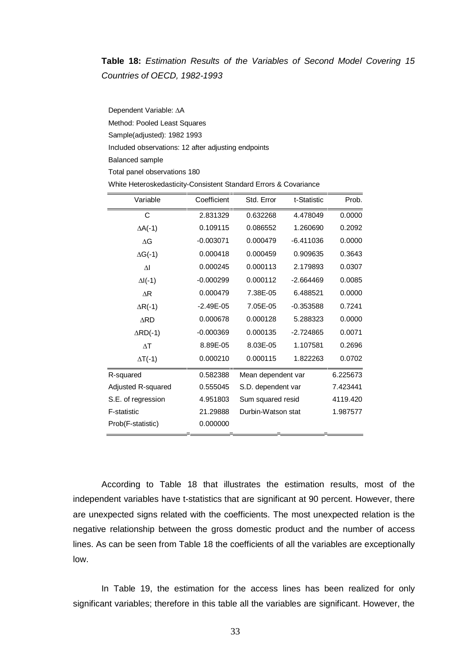# **Table 18:** Estimation Results of the Variables of Second Model Covering 15 Countries of OECD, 1982-1993

Dependent Variable: ΔA Method: Pooled Least Squares Sample(adjusted): 1982 1993 Included observations: 12 after adjusting endpoints Balanced sample Total panel observations 180

| Variable           | Coefficient   | Std. Error         | t-Statistic | Prob.    |
|--------------------|---------------|--------------------|-------------|----------|
| C                  | 2.831329      | 0.632268           | 4.478049    | 0.0000   |
| $\Delta A$ (-1)    | 0.109115      | 0.086552           | 1.260690    | 0.2092   |
| ΛG                 | $-0.003071$   | 0.000479           | $-6.411036$ | 0.0000   |
| $\Delta G$ (-1)    | 0.000418      | 0.000459           | 0.909635    | 0.3643   |
| ΔI                 | 0.000245      | 0.000113           | 2.179893    | 0.0307   |
| $\Delta I(-1)$     | $-0.000299$   | 0.000112           | $-2.664469$ | 0.0085   |
| $\overline{AR}$    | 0.000479      | 7.38E-05           | 6.488521    | 0.0000   |
| $\Delta R$ (-1)    | $-2.49E - 05$ | 7.05E-05           | $-0.353588$ | 0.7241   |
| <b>ARD</b>         | 0.000678      | 0.000128           | 5.288323    | 0.0000   |
| $\triangle$ RD(-1) | $-0.000369$   | 0.000135           | $-2.724865$ | 0.0071   |
| $\wedge$ T         | 8.89E-05      | 8.03E-05           | 1.107581    | 0.2696   |
| $\Delta T$ (-1)    | 0.000210      | 0.000115           | 1.822263    | 0.0702   |
| R-squared          | 0.582388      | Mean dependent var |             | 6.225673 |
| Adjusted R-squared | 0.555045      | S.D. dependent var |             | 7.423441 |
| S.E. of regression | 4.951803      | Sum squared resid  |             | 4119.420 |
| F-statistic        | 21.29888      | Durbin-Watson stat |             | 1.987577 |
| Prob(F-statistic)  | 0.000000      |                    |             |          |

White Heteroskedasticity-Consistent Standard Errors & Covariance

According to Table 18 that illustrates the estimation results, most of the independent variables have t-statistics that are significant at 90 percent. However, there are unexpected signs related with the coefficients. The most unexpected relation is the negative relationship between the gross domestic product and the number of access lines. As can be seen from Table 18 the coefficients of all the variables are exceptionally low.

In Table 19, the estimation for the access lines has been realized for only significant variables; therefore in this table all the variables are significant. However, the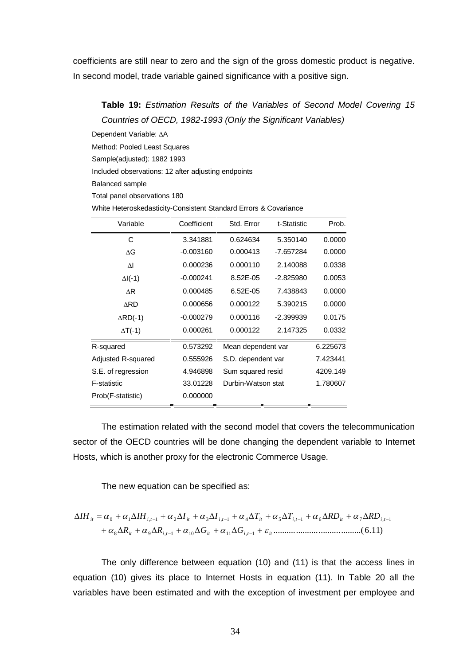coefficients are still near to zero and the sign of the gross domestic product is negative. In second model, trade variable gained significance with a positive sign.

**Table 19:** Estimation Results of the Variables of Second Model Covering 15 Countries of OECD, 1982-1993 (Only the Significant Variables)

Dependent Variable: A

Method: Pooled Least Squares

Sample(adjusted): 1982 1993

Included observations: 12 after adjusting endpoints

Balanced sample

Total panel observations 180

| Variable                | Coefficient | Std. Error         | t-Statistic | Prob.    |
|-------------------------|-------------|--------------------|-------------|----------|
| C                       | 3.341881    | 0.624634           | 5.350140    | 0.0000   |
| ΔG                      | $-0.003160$ | 0.000413           | $-7.657284$ | 0.0000   |
| $\overline{\mathsf{M}}$ | 0.000236    | 0.000110           | 2.140088    | 0.0338   |
| $\Delta I(-1)$          | $-0.000241$ | 8.52E-05           | $-2.825980$ | 0.0053   |
| AR                      | 0.000485    | 6.52E-05           | 7.438843    | 0.0000   |
| <b>ARD</b>              | 0.000656    | 0.000122           | 5.390215    | 0.0000   |
| $\triangle$ RD(-1)      | $-0.000279$ | 0.000116           | $-2.399939$ | 0.0175   |
| $\Delta T$ (-1)         | 0.000261    | 0.000122           | 2.147325    | 0.0332   |
| R-squared               | 0.573292    | Mean dependent var |             | 6.225673 |
| Adjusted R-squared      | 0.555926    | S.D. dependent var |             | 7.423441 |
| S.E. of regression      | 4.946898    | Sum squared resid  |             | 4209.149 |
| F-statistic             | 33.01228    | Durbin-Watson stat |             | 1.780607 |
| Prob(F-statistic)       | 0.000000    |                    |             |          |
|                         |             |                    |             |          |

White Heteroskedasticity-Consistent Standard Errors & Covariance

The estimation related with the second model that covers the telecommunication sector of the OECD countries will be done changing the dependent variable to Internet Hosts, which is another proxy for the electronic Commerce Usage.

The new equation can be specified as:

 .......................................(6.11) 8 9 , 1 10 11 , 1 0 1 , 1 2 3 , 1 4 5 , 1 6 7 , 1 *it i t it i t it it i t it i t it i t it i t R R G G IH IH I I T T RD RD* 

The only difference between equation (10) and (11) is that the access lines in equation (10) gives its place to Internet Hosts in equation (11). In Table 20 all the variables have been estimated and with the exception of investment per employee and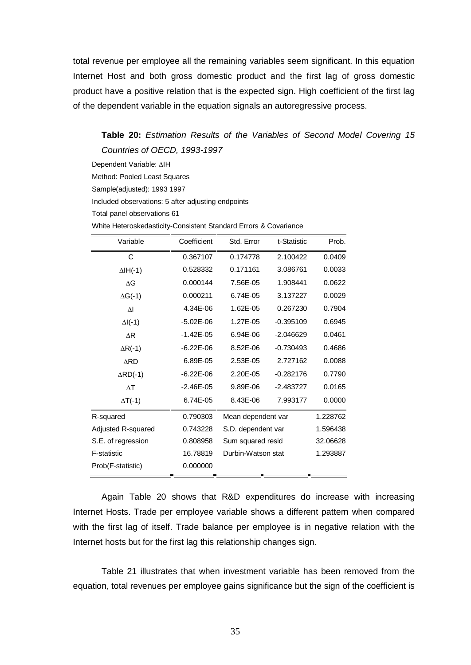total revenue per employee all the remaining variables seem significant. In this equation Internet Host and both gross domestic product and the first lag of gross domestic product have a positive relation that is the expected sign. High coefficient of the first lag of the dependent variable in the equation signals an autoregressive process.

# **Table 20:** Estimation Results of the Variables of Second Model Covering 15 Countries of OECD, 1993-1997

Dependent Variable: AIH

Method: Pooled Least Squares

Sample(adjusted): 1993 1997

Included observations: 5 after adjusting endpoints

Total panel observations 61

White Heteroskedasticity-Consistent Standard Errors & Covariance

| Variable                | Coefficient   | Std. Error         | t-Statistic | Prob.    |
|-------------------------|---------------|--------------------|-------------|----------|
| C                       | 0.367107      | 0.174778           | 2.100422    | 0.0409   |
| $\Delta H(-1)$          | 0.528332      | 0.171161           | 3.086761    | 0.0033   |
| ΔG                      | 0.000144      | 7.56E-05           | 1.908441    | 0.0622   |
| $\Delta G$ (-1)         | 0.000211      | 6.74E-05           | 3.137227    | 0.0029   |
| $\overline{\mathsf{M}}$ | 4.34E-06      | 1.62E-05           | 0.267230    | 0.7904   |
| $\Delta I(-1)$          | $-5.02E - 06$ | 1.27E-05           | $-0.395109$ | 0.6945   |
| AR                      | $-1.42E - 05$ | 6.94E-06           | $-2.046629$ | 0.0461   |
| $\Delta R$ (-1)         | $-6.22E - 06$ | 8.52E-06           | $-0.730493$ | 0.4686   |
| <b>ARD</b>              | 6.89E-05      | 2.53E-05           | 2.727162    | 0.0088   |
| $\triangle$ RD(-1)      | $-6.22E - 06$ | 2.20E-05           | $-0.282176$ | 0.7790   |
| $\wedge$ T              | $-2.46E - 05$ | 9.89E-06           | $-2.483727$ | 0.0165   |
| $\Delta T$ (-1)         | 6.74E-05      | 8.43E-06           | 7.993177    | 0.0000   |
| R-squared               | 0.790303      | Mean dependent var |             | 1.228762 |
| Adjusted R-squared      | 0.743228      | S.D. dependent var |             | 1.596438 |
| S.E. of regression      | 0.808958      | Sum squared resid  |             | 32.06628 |
| <b>F-statistic</b>      | 16.78819      | Durbin-Watson stat |             | 1.293887 |
| Prob(F-statistic)       | 0.000000      |                    |             |          |

Again Table 20 shows that R&D expenditures do increase with increasing Internet Hosts. Trade per employee variable shows a different pattern when compared with the first lag of itself. Trade balance per employee is in negative relation with the Internet hosts but for the first lag this relationship changes sign.

Table 21 illustrates that when investment variable has been removed from the equation, total revenues per employee gains significance but the sign of the coefficient is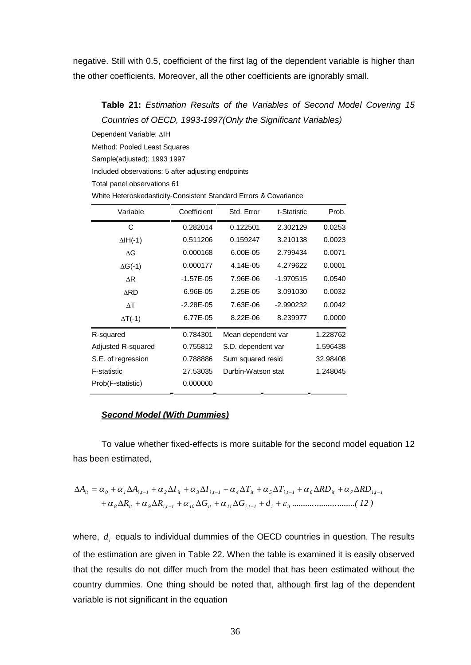negative. Still with 0.5, coefficient of the first lag of the dependent variable is higher than the other coefficients. Moreover, all the other coefficients are ignorably small.

# **Table 21:** Estimation Results of the Variables of Second Model Covering 15 Countries of OECD, 1993-1997(Only the Significant Variables)

Dependent Variable: AIH

Method: Pooled Least Squares

Sample(adjusted): 1993 1997

Included observations: 5 after adjusting endpoints

Total panel observations 61

| White Heteroskedasticity-Consistent Standard Errors & Covariance |
|------------------------------------------------------------------|
|------------------------------------------------------------------|

| Variable           | Coefficient   | Std. Error         | t-Statistic | Prob.    |
|--------------------|---------------|--------------------|-------------|----------|
| С                  | 0.282014      | 0.122501           | 2.302129    | 0.0253   |
| $\Delta IH(-1)$    | 0.511206      | 0.159247           | 3.210138    | 0.0023   |
| ΔG                 | 0.000168      | 6.00E-05           | 2.799434    | 0.0071   |
| $\Delta G$ (-1)    | 0.000177      | 4.14E-05           | 4.279622    | 0.0001   |
| ΔR                 | $-1.57E-05$   | 7.96E-06           | $-1.970515$ | 0.0540   |
| <b>ARD</b>         | 6.96E-05      | 2.25E-05           | 3.091030    | 0.0032   |
| $\wedge$ T         | $-2.28E - 05$ | 7.63E-06           | $-2.990232$ | 0.0042   |
| $\Delta T$ (-1)    | 6.77E-05      | 8.22E-06           | 8.239977    | 0.0000   |
| R-squared          | 0.784301      | Mean dependent var |             | 1.228762 |
| Adjusted R-squared | 0.755812      | S.D. dependent var |             | 1.596438 |
| S.E. of regression | 0.788886      | Sum squared resid  |             | 32.98408 |
| <b>F-statistic</b> | 27.53035      | Durbin-Watson stat |             | 1.248045 |
| Prob(F-statistic)  | 0.000000      |                    |             |          |

#### **Second Model (With Dummies)**

To value whether fixed-effects is more suitable for the second model equation 12 has been estimated,

$$
\Delta A_{it} = \alpha_0 + \alpha_1 \Delta A_{i,t-1} + \alpha_2 \Delta I_{it} + \alpha_3 \Delta I_{i,t-1} + \alpha_4 \Delta T_{it} + \alpha_5 \Delta T_{i,t-1} + \alpha_6 \Delta R D_{it} + \alpha_7 \Delta R D_{i,t-1} + \alpha_8 \Delta R_{it} + \alpha_9 \Delta R_{i,t-1} + \alpha_{10} \Delta G_{it} + \alpha_{11} \Delta G_{i,t-1} + d_i + \varepsilon_{it} \dots \dots \dots \dots \dots \dots \dots \dots (12)
$$

where,  $d_i$  equals to individual dummies of the OECD countries in question. The results of the estimation are given in Table 22. When the table is examined it is easily observed that the results do not differ much from the model that has been estimated without the country dummies. One thing should be noted that, although first lag of the dependent variable is not significant in the equation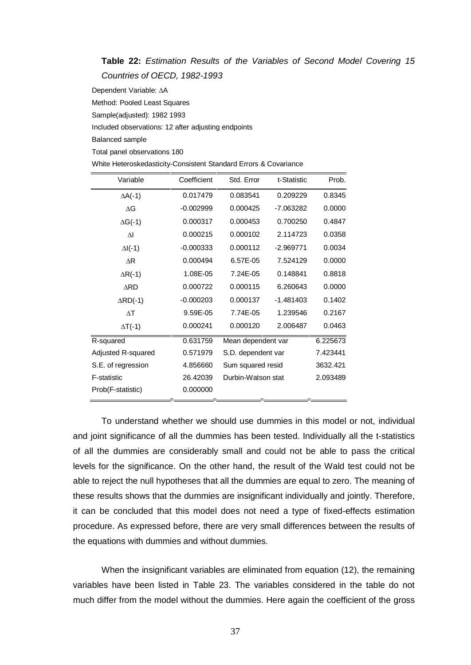**Table 22:** Estimation Results of the Variables of Second Model Covering 15 Countries of OECD, 1982-1993

Dependent Variable: A

Method: Pooled Least Squares

Sample(adjusted): 1982 1993

Included observations: 12 after adjusting endpoints

Balanced sample

Total panel observations 180

White Heteroskedasticity-Consistent Standard Errors & Covariance

| Variable                | Coefficient | Std. Error         | t-Statistic | Prob.    |
|-------------------------|-------------|--------------------|-------------|----------|
| $\Delta A$ (-1)         | 0.017479    | 0.083541           | 0.209229    | 0.8345   |
| ΔG                      | $-0.002999$ | 0.000425           | -7.063282   | 0.0000   |
| $\Delta G$ (-1)         | 0.000317    | 0.000453           | 0.700250    | 0.4847   |
| $\overline{\mathsf{M}}$ | 0.000215    | 0.000102           | 2.114723    | 0.0358   |
| $\Delta I(-1)$          | $-0.000333$ | 0.000112           | $-2.969771$ | 0.0034   |
| $\Delta$ R              | 0.000494    | 6.57E-05           | 7.524129    | 0.0000   |
| $\Delta R$ (-1)         | 1.08E-05    | 7.24E-05           | 0.148841    | 0.8818   |
| <b>ARD</b>              | 0.000722    | 0.000115           | 6.260643    | 0.0000   |
| $\triangle$ RD(-1)      | $-0.000203$ | 0.000137           | $-1.481403$ | 0.1402   |
| $\Delta T$              | 9.59E-05    | 7.74E-05           | 1.239546    | 0.2167   |
| $\Delta T$ (-1)         | 0.000241    | 0.000120           | 2.006487    | 0.0463   |
| R-squared               | 0.631759    | Mean dependent var |             | 6.225673 |
| Adjusted R-squared      | 0.571979    | S.D. dependent var |             | 7.423441 |
| S.E. of regression      | 4.856660    | Sum squared resid  |             | 3632.421 |
| F-statistic             | 26.42039    | Durbin-Watson stat |             | 2.093489 |
| Prob(F-statistic)       | 0.000000    |                    |             |          |

To understand whether we should use dummies in this model or not, individual and joint significance of all the dummies has been tested. Individually all the t-statistics of all the dummies are considerably small and could not be able to pass the critical levels for the significance. On the other hand, the result of the Wald test could not be able to reject the null hypotheses that all the dummies are equal to zero. The meaning of these results shows that the dummies are insignificant individually and jointly. Therefore, it can be concluded that this model does not need a type of fixed-effects estimation procedure. As expressed before, there are very small differences between the results of the equations with dummies and without dummies.

When the insignificant variables are eliminated from equation (12), the remaining variables have been listed in Table 23. The variables considered in the table do not much differ from the model without the dummies. Here again the coefficient of the gross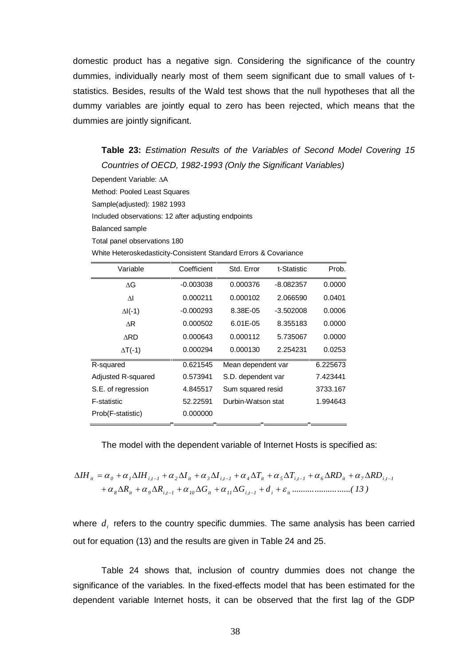domestic product has a negative sign. Considering the significance of the country dummies, individually nearly most of them seem significant due to small values of tstatistics. Besides, results of the Wald test shows that the null hypotheses that all the dummy variables are jointly equal to zero has been rejected, which means that the dummies are jointly significant.

**Table 23:** Estimation Results of the Variables of Second Model Covering 15 Countries of OECD, 1982-1993 (Only the Significant Variables)

Dependent Variable: A

Method: Pooled Least Squares Sample(adjusted): 1982 1993 Included observations: 12 after adjusting endpoints Balanced sample Total panel observations 180

White Heteroskedasticity-Consistent Standard Errors & Covariance

| Variable                  | Coefficient | Std. Error         | t-Statistic | Prob.    |
|---------------------------|-------------|--------------------|-------------|----------|
| ΔG                        | $-0.003038$ | 0.000376           | $-8.082357$ | 0.0000   |
| $\overline{\mathsf{M}}$   | 0.000211    | 0.000102           | 2.066590    | 0.0401   |
| $\Delta I(-1)$            | $-0.000293$ | 8.38E-05           | $-3.502008$ | 0.0006   |
| ΔR                        | 0.000502    | 6.01E-05           | 8.355183    | 0.0000   |
| <b>ARD</b>                | 0.000643    | 0.000112           | 5.735067    | 0.0000   |
| $\Delta T$ (-1)           | 0.000294    | 0.000130           | 2.254231    | 0.0253   |
| R-squared                 | 0.621545    | Mean dependent var |             | 6.225673 |
| <b>Adjusted R-squared</b> | 0.573941    | S.D. dependent var |             | 7.423441 |
| S.E. of regression        | 4.845517    | Sum squared resid  |             | 3733.167 |
| F-statistic               | 52.22591    | Durbin-Watson stat |             | 1.994643 |
| Prob(F-statistic)         | 0.000000    |                    |             |          |
|                           |             |                    |             |          |

The model with the dependent variable of Internet Hosts is specified as:

*R R G G d ..........................( 13 ) IH IH I I T T RD RD 8 it 9 i,t 1 10 it 11 i,t 1 i it it 0 1 i,t 1 2 it 3 i,t 1 4 it 5 i,t 1 6 it 7 i,t 1* 

where  $d_i$  refers to the country specific dummies. The same analysis has been carried out for equation (13) and the results are given in Table 24 and 25.

Table 24 shows that, inclusion of country dummies does not change the significance of the variables. In the fixed-effects model that has been estimated for the dependent variable Internet hosts, it can be observed that the first lag of the GDP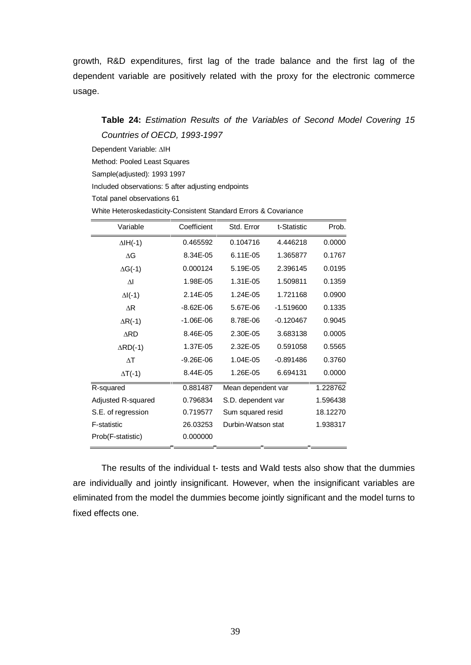growth, R&D expenditures, first lag of the trade balance and the first lag of the dependent variable are positively related with the proxy for the electronic commerce usage.

## **Table 24:** Estimation Results of the Variables of Second Model Covering 15 Countries of OECD, 1993-1997

Dependent Variable: AIH

Method: Pooled Least Squares

Sample(adjusted): 1993 1997

Included observations: 5 after adjusting endpoints

Total panel observations 61

|  | White Heteroskedasticity-Consistent Standard Errors & Covariance |
|--|------------------------------------------------------------------|
|--|------------------------------------------------------------------|

| Variable           | Coefficient   | Std. Error         | t-Statistic | Prob.    |
|--------------------|---------------|--------------------|-------------|----------|
| $\Delta IH(-1)$    | 0.465592      | 0.104716           | 4.446218    | 0.0000   |
| ΛG                 | 8.34E-05      | 6.11E-05           | 1.365877    | 0.1767   |
| $\Delta G$ (-1)    | 0.000124      | 5.19E-05           | 2.396145    | 0.0195   |
| $\Delta I$         | 1.98E-05      | 1.31E-05           | 1.509811    | 0.1359   |
| $\Delta I(-1)$     | 2.14E-05      | 1.24E-05           | 1.721168    | 0.0900   |
| $\Delta$ R         | $-8.62E - 06$ | 5.67E-06           | $-1.519600$ | 0.1335   |
| $\Delta R$ (-1)    | $-1.06E - 06$ | 8.78E-06           | $-0.120467$ | 0.9045   |
| <b>ARD</b>         | 8.46E-05      | 2.30E-05           | 3.683138    | 0.0005   |
| $\triangle$ RD(-1) | 1.37E-05      | 2.32E-05           | 0.591058    | 0.5565   |
| $\Delta T$         | $-9.26E - 06$ | 1.04E-05           | $-0.891486$ | 0.3760   |
| $\Delta T$ (-1)    | 8.44E-05      | 1.26E-05           | 6.694131    | 0.0000   |
| R-squared          | 0.881487      | Mean dependent var |             | 1.228762 |
| Adjusted R-squared | 0.796834      | S.D. dependent var |             | 1.596438 |
| S.E. of regression | 0.719577      | Sum squared resid  |             | 18.12270 |
| F-statistic        | 26.03253      | Durbin-Watson stat |             | 1.938317 |
| Prob(F-statistic)  | 0.000000      |                    |             |          |

The results of the individual t- tests and Wald tests also show that the dummies are individually and jointly insignificant. However, when the insignificant variables are eliminated from the model the dummies become jointly significant and the model turns to fixed effects one.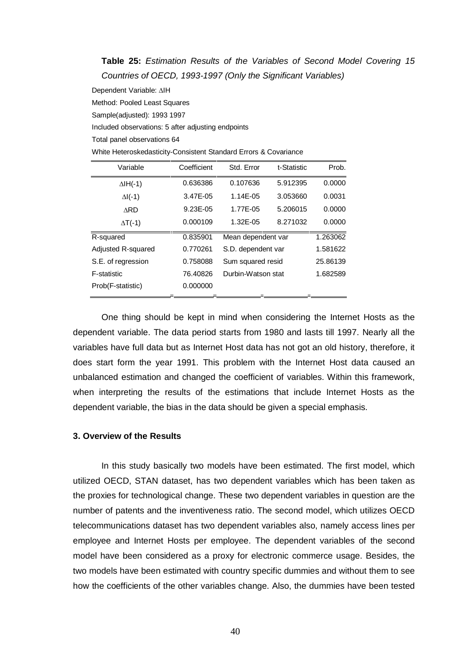# **Table 25:** Estimation Results of the Variables of Second Model Covering 15 Countries of OECD, 1993-1997 (Only the Significant Variables)

Dependent Variable: AIH

Method: Pooled Least Squares

Sample(adjusted): 1993 1997

Included observations: 5 after adjusting endpoints

Total panel observations 64

| Variable                  | Coefficient | Std. Error         | t-Statistic | Prob.    |
|---------------------------|-------------|--------------------|-------------|----------|
| $\Delta H(-1)$            | 0.636386    | 0.107636           | 5.912395    | 0.0000   |
| $\Delta$ I(-1)            | 3.47E-05    | 1.14E-05           | 3.053660    | 0.0031   |
| <b>ARD</b>                | 9.23E-05    | 1.77E-05           | 5.206015    | 0.0000   |
| $\Delta T$ (-1)           | 0.000109    | 1.32E-05           | 8.271032    | 0.0000   |
| R-squared                 | 0.835901    | Mean dependent var |             | 1.263062 |
| <b>Adjusted R-squared</b> | 0.770261    | S.D. dependent var |             | 1.581622 |
| S.E. of regression        | 0.758088    | Sum squared resid  |             | 25.86139 |
| <b>F-statistic</b>        | 76.40826    | Durbin-Watson stat |             | 1.682589 |
| Prob(F-statistic)         | 0.000000    |                    |             |          |

One thing should be kept in mind when considering the Internet Hosts as the dependent variable. The data period starts from 1980 and lasts till 1997. Nearly all the variables have full data but as Internet Host data has not got an old history, therefore, it does start form the year 1991. This problem with the Internet Host data caused an unbalanced estimation and changed the coefficient of variables. Within this framework, when interpreting the results of the estimations that include Internet Hosts as the dependent variable, the bias in the data should be given a special emphasis.

### **3. Overview of the Results**

In this study basically two models have been estimated. The first model, which utilized OECD, STAN dataset, has two dependent variables which has been taken as the proxies for technological change. These two dependent variables in question are the number of patents and the inventiveness ratio. The second model, which utilizes OECD telecommunications dataset has two dependent variables also, namely access lines per employee and Internet Hosts per employee. The dependent variables of the second model have been considered as a proxy for electronic commerce usage. Besides, the two models have been estimated with country specific dummies and without them to see how the coefficients of the other variables change. Also, the dummies have been tested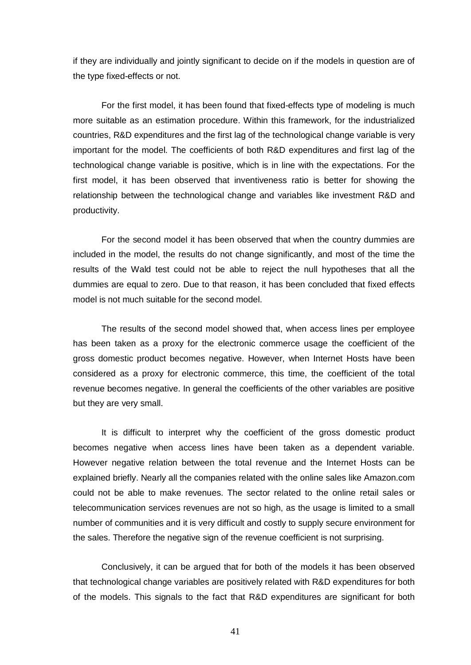if they are individually and jointly significant to decide on if the models in question are of the type fixed-effects or not.

For the first model, it has been found that fixed-effects type of modeling is much more suitable as an estimation procedure. Within this framework, for the industrialized countries, R&D expenditures and the first lag of the technological change variable is very important for the model. The coefficients of both R&D expenditures and first lag of the technological change variable is positive, which is in line with the expectations. For the first model, it has been observed that inventiveness ratio is better for showing the relationship between the technological change and variables like investment R&D and productivity.

For the second model it has been observed that when the country dummies are included in the model, the results do not change significantly, and most of the time the results of the Wald test could not be able to reject the null hypotheses that all the dummies are equal to zero. Due to that reason, it has been concluded that fixed effects model is not much suitable for the second model.

The results of the second model showed that, when access lines per employee has been taken as a proxy for the electronic commerce usage the coefficient of the gross domestic product becomes negative. However, when Internet Hosts have been considered as a proxy for electronic commerce, this time, the coefficient of the total revenue becomes negative. In general the coefficients of the other variables are positive but they are very small.

It is difficult to interpret why the coefficient of the gross domestic product becomes negative when access lines have been taken as a dependent variable. However negative relation between the total revenue and the Internet Hosts can be explained briefly. Nearly all the companies related with the online sales like Amazon.com could not be able to make revenues. The sector related to the online retail sales or telecommunication services revenues are not so high, as the usage is limited to a small number of communities and it is very difficult and costly to supply secure environment for the sales. Therefore the negative sign of the revenue coefficient is not surprising.

Conclusively, it can be argued that for both of the models it has been observed that technological change variables are positively related with R&D expenditures for both of the models. This signals to the fact that R&D expenditures are significant for both

41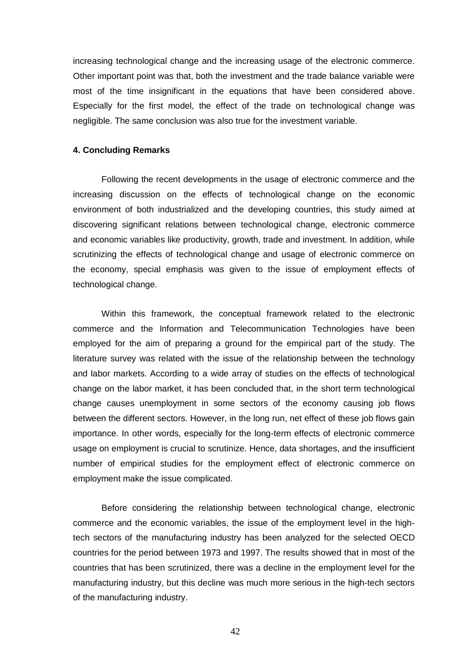increasing technological change and the increasing usage of the electronic commerce. Other important point was that, both the investment and the trade balance variable were most of the time insignificant in the equations that have been considered above. Especially for the first model, the effect of the trade on technological change was negligible. The same conclusion was also true for the investment variable.

#### **4. Concluding Remarks**

Following the recent developments in the usage of electronic commerce and the increasing discussion on the effects of technological change on the economic environment of both industrialized and the developing countries, this study aimed at discovering significant relations between technological change, electronic commerce and economic variables like productivity, growth, trade and investment. In addition, while scrutinizing the effects of technological change and usage of electronic commerce on the economy, special emphasis was given to the issue of employment effects of technological change.

Within this framework, the conceptual framework related to the electronic commerce and the Information and Telecommunication Technologies have been employed for the aim of preparing a ground for the empirical part of the study. The literature survey was related with the issue of the relationship between the technology and labor markets. According to a wide array of studies on the effects of technological change on the labor market, it has been concluded that, in the short term technological change causes unemployment in some sectors of the economy causing job flows between the different sectors. However, in the long run, net effect of these job flows gain importance. In other words, especially for the long-term effects of electronic commerce usage on employment is crucial to scrutinize. Hence, data shortages, and the insufficient number of empirical studies for the employment effect of electronic commerce on employment make the issue complicated.

Before considering the relationship between technological change, electronic commerce and the economic variables, the issue of the employment level in the hightech sectors of the manufacturing industry has been analyzed for the selected OECD countries for the period between 1973 and 1997. The results showed that in most of the countries that has been scrutinized, there was a decline in the employment level for the manufacturing industry, but this decline was much more serious in the high-tech sectors of the manufacturing industry.

42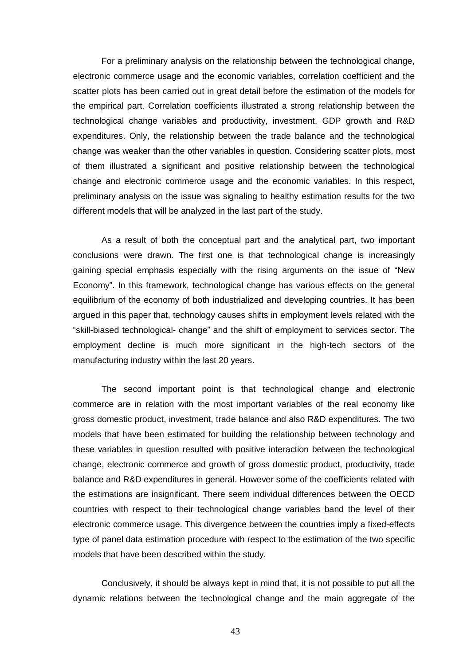For a preliminary analysis on the relationship between the technological change, electronic commerce usage and the economic variables, correlation coefficient and the scatter plots has been carried out in great detail before the estimation of the models for the empirical part. Correlation coefficients illustrated a strong relationship between the technological change variables and productivity, investment, GDP growth and R&D expenditures. Only, the relationship between the trade balance and the technological change was weaker than the other variables in question. Considering scatter plots, most of them illustrated a significant and positive relationship between the technological change and electronic commerce usage and the economic variables. In this respect, preliminary analysis on the issue was signaling to healthy estimation results for the two different models that will be analyzed in the last part of the study.

As a result of both the conceptual part and the analytical part, two important conclusions were drawn. The first one is that technological change is increasingly gaining special emphasis especially with the rising arguments on the issue of "New Economyî. In this framework, technological change has various effects on the general equilibrium of the economy of both industrialized and developing countries. It has been argued in this paper that, technology causes shifts in employment levels related with the "skill-biased technological- change" and the shift of employment to services sector. The employment decline is much more significant in the high-tech sectors of the manufacturing industry within the last 20 years.

The second important point is that technological change and electronic commerce are in relation with the most important variables of the real economy like gross domestic product, investment, trade balance and also R&D expenditures. The two models that have been estimated for building the relationship between technology and these variables in question resulted with positive interaction between the technological change, electronic commerce and growth of gross domestic product, productivity, trade balance and R&D expenditures in general. However some of the coefficients related with the estimations are insignificant. There seem individual differences between the OECD countries with respect to their technological change variables band the level of their electronic commerce usage. This divergence between the countries imply a fixed-effects type of panel data estimation procedure with respect to the estimation of the two specific models that have been described within the study.

Conclusively, it should be always kept in mind that, it is not possible to put all the dynamic relations between the technological change and the main aggregate of the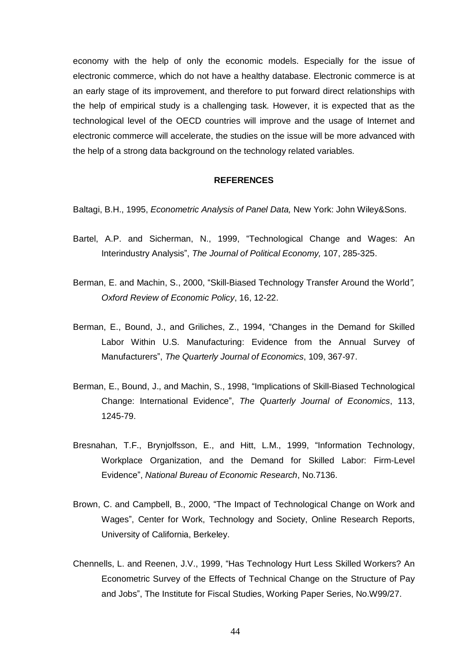economy with the help of only the economic models. Especially for the issue of electronic commerce, which do not have a healthy database. Electronic commerce is at an early stage of its improvement, and therefore to put forward direct relationships with the help of empirical study is a challenging task. However, it is expected that as the technological level of the OECD countries will improve and the usage of Internet and electronic commerce will accelerate, the studies on the issue will be more advanced with the help of a strong data background on the technology related variables.

#### **REFERENCES**

Baltagi, B.H., 1995, *Econometric Analysis of Panel Data*, New York: John Wiley&Sons.

- Bartel, A.P. and Sicherman, N., 1999, "Technological Change and Wages: An Interindustry Analysis", The Journal of Political Economy, 107, 285-325.
- Berman, E. and Machin, S., 2000, "Skill-Biased Technology Transfer Around the World", Oxford Review of Economic Policy, 16, 12-22.
- Berman, E., Bound, J., and Griliches, Z., 1994, "Changes in the Demand for Skilled Labor Within U.S. Manufacturing: Evidence from the Annual Survey of Manufacturers", The Quarterly Journal of Economics, 109, 367-97.
- Berman, E., Bound, J., and Machin, S., 1998, "Implications of Skill-Biased Technological Change: International Evidenceî, The Quarterly Journal of Economics, 113, 1245-79.
- Bresnahan, T.F., Brynjolfsson, E., and Hitt, L.M., 1999, "Information Technology, Workplace Organization, and the Demand for Skilled Labor: Firm-Level Evidence", National Bureau of Economic Research, No.7136.
- Brown, C. and Campbell, B., 2000, "The Impact of Technological Change on Work and Wagesî, Center for Work, Technology and Society, Online Research Reports, University of California, Berkeley.
- Chennells, L. and Reenen, J.V., 1999, "Has Technology Hurt Less Skilled Workers? An Econometric Survey of the Effects of Technical Change on the Structure of Pay and Jobsî, The Institute for Fiscal Studies, Working Paper Series, No.W99/27.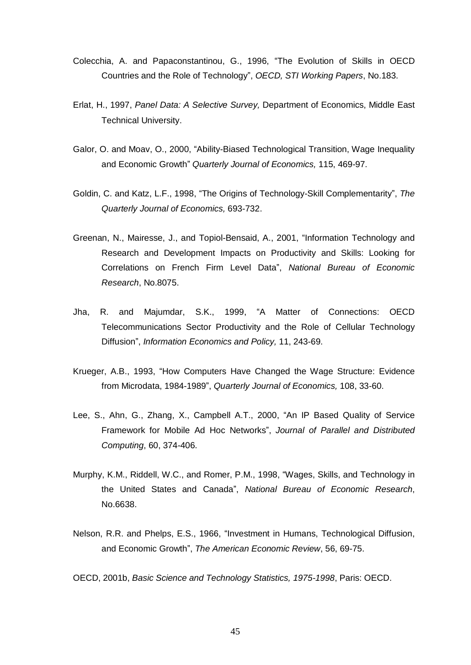- Colecchia, A. and Papaconstantinou, G., 1996, "The Evolution of Skills in OECD Countries and the Role of Technologyî, OECD, STI Working Papers, No.183.
- Erlat, H., 1997, Panel Data: A Selective Survey, Department of Economics, Middle East Technical University.
- Galor, O. and Moav, O., 2000, "Ability-Biased Technological Transition, Wage Inequality and Economic Growth" Quarterly Journal of Economics, 115, 469-97.
- Goldin, C. and Katz, L.F., 1998, "The Origins of Technology-Skill Complementarity", The Quarterly Journal of Economics, 693-732.
- Greenan, N., Mairesse, J., and Topiol-Bensaid, A., 2001, "Information Technology and Research and Development Impacts on Productivity and Skills: Looking for Correlations on French Firm Level Dataî, National Bureau of Economic Research, No.8075.
- Jha, R. and Maiumdar, S.K., 1999. "A Matter of Connections: OECD Telecommunications Sector Productivity and the Role of Cellular Technology Diffusion", Information Economics and Policy, 11, 243-69.
- Krueger, A.B., 1993, "How Computers Have Changed the Wage Structure: Evidence from Microdata, 1984-1989", Quarterly Journal of Economics, 108, 33-60.
- Lee, S., Ahn, G., Zhang, X., Campbell A.T., 2000, "An IP Based Quality of Service Framework for Mobile Ad Hoc Networks", Journal of Parallel and Distributed Computing, 60, 374-406.
- Murphy, K.M., Riddell, W.C., and Romer, P.M., 1998, "Wages, Skills, and Technology in the United States and Canadaî, National Bureau of Economic Research, No.6638.
- Nelson, R.R. and Phelps, E.S., 1966, "Investment in Humans, Technological Diffusion, and Economic Growth", The American Economic Review, 56, 69-75.

OECD, 2001b, Basic Science and Technology Statistics, 1975-1998, Paris: OECD.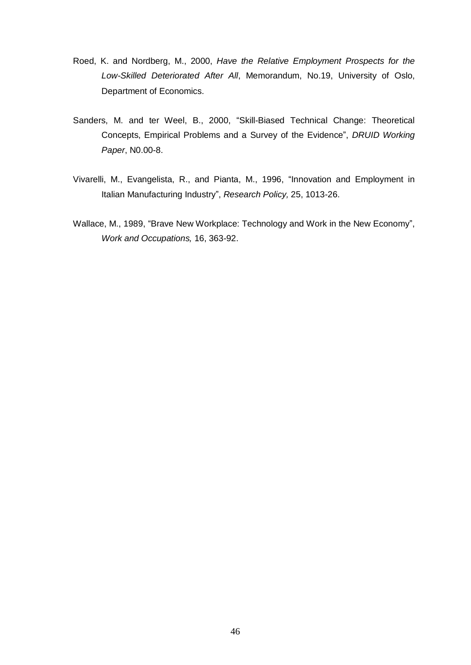- Roed, K. and Nordberg, M., 2000, Have the Relative Employment Prospects for the Low-Skilled Deteriorated After All, Memorandum, No.19, University of Oslo, Department of Economics.
- Sanders, M. and ter Weel, B., 2000, "Skill-Biased Technical Change: Theoretical Concepts, Empirical Problems and a Survey of the Evidence", DRUID Working Paper, N0.00-8.
- Vivarelli, M., Evangelista, R., and Pianta, M., 1996, "Innovation and Employment in Italian Manufacturing Industry", Research Policy, 25, 1013-26.
- Wallace, M., 1989, "Brave New Workplace: Technology and Work in the New Economy", Work and Occupations, 16, 363-92.